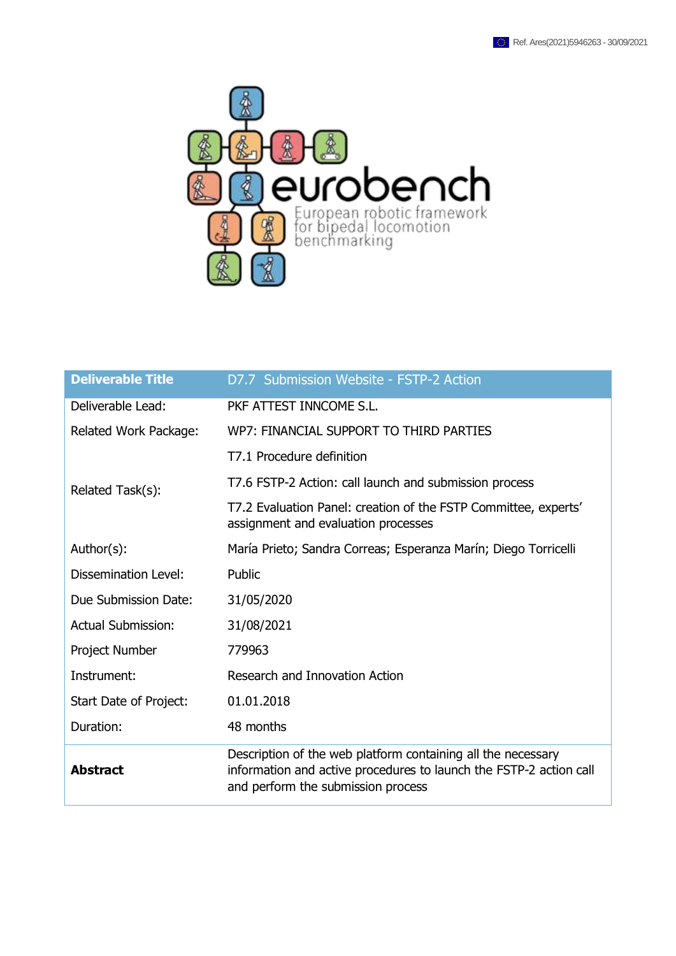

| <b>Deliverable Title</b>    | D7.7 Submission Website - FSTP-2 Action                                                                                                                                  |
|-----------------------------|--------------------------------------------------------------------------------------------------------------------------------------------------------------------------|
| Deliverable Lead:           | PKF ATTEST INNCOME S.L.                                                                                                                                                  |
| Related Work Package:       | WP7: FINANCIAL SUPPORT TO THIRD PARTIES                                                                                                                                  |
|                             | T7.1 Procedure definition                                                                                                                                                |
| Related Task(s):            | T7.6 FSTP-2 Action: call launch and submission process                                                                                                                   |
|                             | T7.2 Evaluation Panel: creation of the FSTP Committee, experts'<br>assignment and evaluation processes                                                                   |
| Author(s):                  | María Prieto; Sandra Correas; Esperanza Marín; Diego Torricelli                                                                                                          |
| <b>Dissemination Level:</b> | Public                                                                                                                                                                   |
| Due Submission Date:        | 31/05/2020                                                                                                                                                               |
| <b>Actual Submission:</b>   | 31/08/2021                                                                                                                                                               |
| Project Number              | 779963                                                                                                                                                                   |
| Instrument:                 | Research and Innovation Action                                                                                                                                           |
| Start Date of Project:      | 01.01.2018                                                                                                                                                               |
| Duration:                   | 48 months                                                                                                                                                                |
| <b>Abstract</b>             | Description of the web platform containing all the necessary<br>information and active procedures to launch the FSTP-2 action call<br>and perform the submission process |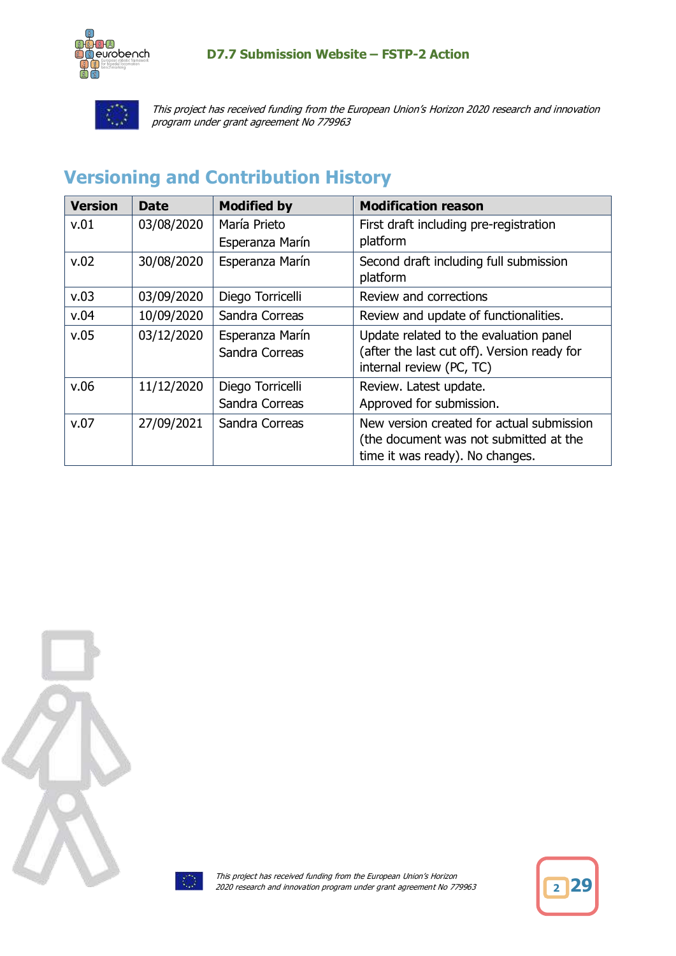

This project has received funding from the European Union's Horizon 2020 research and innovation program under grant agreement No 779963

# <span id="page-1-0"></span>**Versioning and Contribution History**

| <b>Version</b> | Date       | <b>Modified by</b>                 | <b>Modification reason</b>                                                                                             |
|----------------|------------|------------------------------------|------------------------------------------------------------------------------------------------------------------------|
| v.01           | 03/08/2020 | María Prieto<br>Esperanza Marín    | First draft including pre-registration<br>platform                                                                     |
| v.02           | 30/08/2020 | Esperanza Marín                    | Second draft including full submission<br>platform                                                                     |
| v.03           | 03/09/2020 | Diego Torricelli                   | Review and corrections                                                                                                 |
| v.04           | 10/09/2020 | Sandra Correas                     | Review and update of functionalities.                                                                                  |
| v.05           | 03/12/2020 | Esperanza Marín<br>Sandra Correas  | Update related to the evaluation panel<br>(after the last cut off). Version ready for<br>internal review (PC, TC)      |
| v.06           | 11/12/2020 | Diego Torricelli<br>Sandra Correas | Review. Latest update.<br>Approved for submission.                                                                     |
| v.07           | 27/09/2021 | Sandra Correas                     | New version created for actual submission<br>(the document was not submitted at the<br>time it was ready). No changes. |





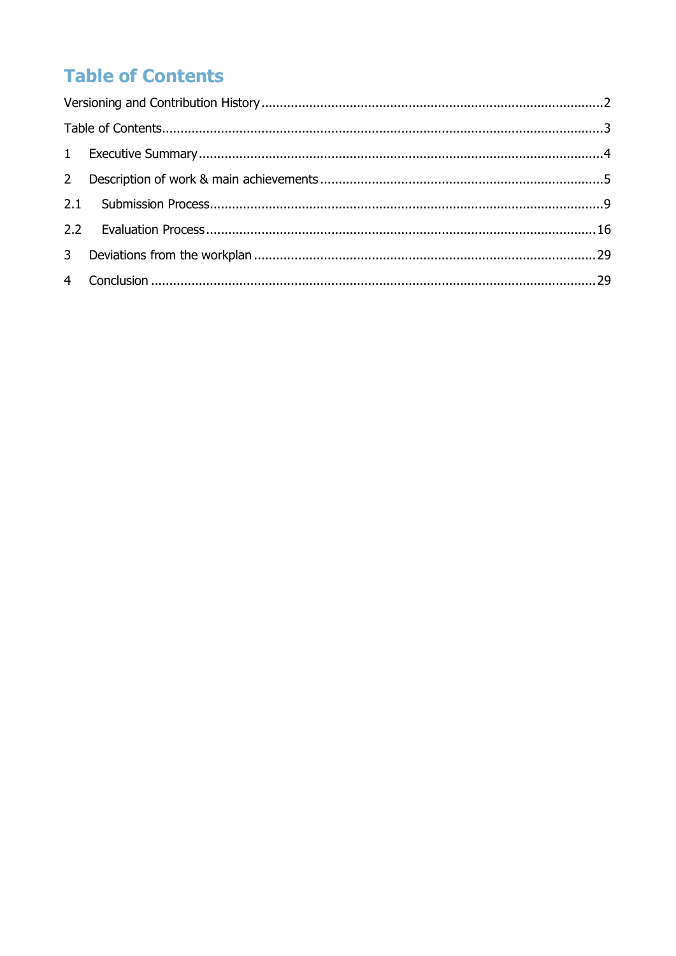# <span id="page-2-0"></span>**Table of Contents**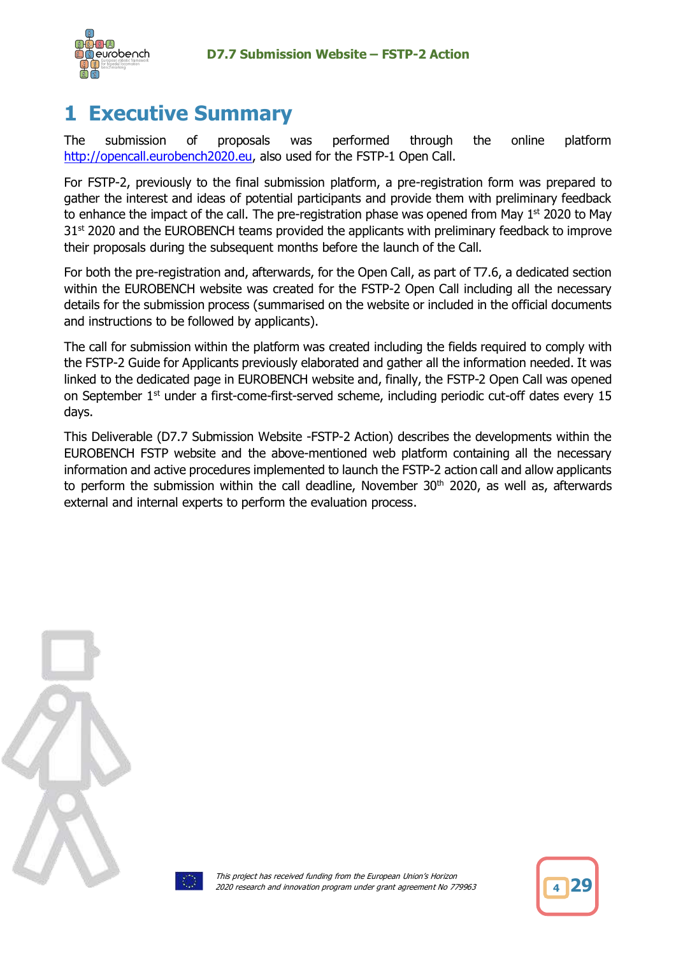

# <span id="page-3-0"></span>**1 Executive Summary**

The submission of proposals was performed through the online platform [http://opencall.eurobench2020.eu,](http://opencall.eurobench2020.eu/) also used for the FSTP-1 Open Call.

For FSTP-2, previously to the final submission platform, a pre-registration form was prepared to gather the interest and ideas of potential participants and provide them with preliminary feedback to enhance the impact of the call. The pre-registration phase was opened from May  $1<sup>st</sup>$  2020 to May  $31<sup>st</sup>$  2020 and the EUROBENCH teams provided the applicants with preliminary feedback to improve their proposals during the subsequent months before the launch of the Call.

For both the pre-registration and, afterwards, for the Open Call, as part of T7.6, a dedicated section within the EUROBENCH website was created for the FSTP-2 Open Call including all the necessary details for the submission process (summarised on the website or included in the official documents and instructions to be followed by applicants).

The call for submission within the platform was created including the fields required to comply with the FSTP-2 Guide for Applicants previously elaborated and gather all the information needed. It was linked to the dedicated page in EUROBENCH website and, finally, the FSTP-2 Open Call was opened on September 1<sup>st</sup> under a first-come-first-served scheme, including periodic cut-off dates every 15 days.

This Deliverable (D7.7 Submission Website -FSTP-2 Action) describes the developments within the EUROBENCH FSTP website and the above-mentioned web platform containing all the necessary information and active procedures implemented to launch the FSTP-2 action call and allow applicants to perform the submission within the call deadline, November  $30<sup>th</sup>$  2020, as well as, afterwards external and internal experts to perform the evaluation process.





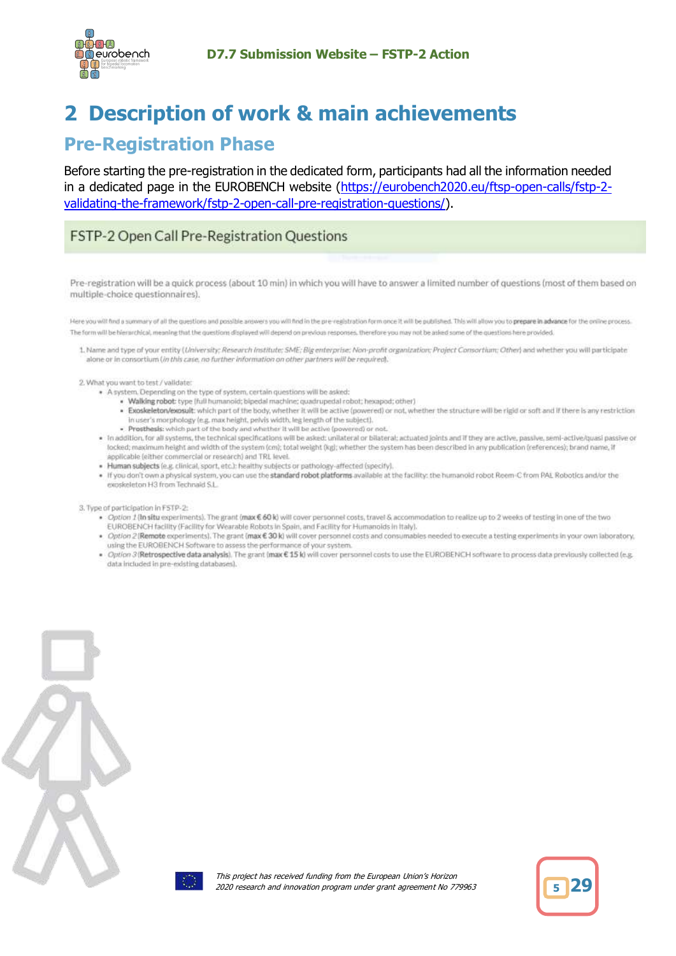

# <span id="page-4-0"></span>**2 Description of work & main achievements**

# **Pre-Registration Phase**

Before starting the pre-registration in the dedicated form, participants had all the information needed in a dedicated page in the EUROBENCH website [\(https://eurobench2020.eu/ftsp-open-calls/fstp-2](https://eurobench2020.eu/ftsp-open-calls/fstp-2-validating-the-framework/fstp-2-open-call-pre-registration-questions/) [validating-the-framework/fstp-2-open-call-pre-registration-questions/\)](https://eurobench2020.eu/ftsp-open-calls/fstp-2-validating-the-framework/fstp-2-open-call-pre-registration-questions/).

## FSTP-2 Open Call Pre-Registration Questions

Pre-registration will be a quick process (about 10 min) in which you will have to answer a limited number of questions (most of them based on multiple-choice questionnaires).

Here you will find a summary of all the questions and possible answers you will find in the pre-registration form once it will be published. This will allow you to prepare in advance for the online process. The form will be blerarchical, meaning that the questions displayed will depend on previous responses, therefore you may not be asked some of the questions here provided.

1. Name and type of your entity (University: Research Institute: SME: Big enterprise: Non-profit organization: Project Consortium: Other) and whether you will participate alone or in consortium (in this case, no further information on other partners will be required).

2. What you want to test / vaildate:

- \* A system. Depending on the type of system, certain questions will be asked:
	- · Walking robot: type [full humanoid; bipedal machine; quadrupedal robot; hexapod; other)
	- . Exoskeleton/exosult: which part of the body, whether it will be active (powered) or not, whether the structure will be rigid or soft and if there is any restriction In user's morphology (e.g. max height, pelvis width, leg length of the subject).
	- . Prosthesis: which part of the body and whether it will be active (powered) or not.
- . In addition, for all systems, the technical specifications will be asked: unilateral or bilateral; actuated joints and if they are active, passive, semi-active/quasi passive or focked; maximum height and width of the system (cm); total weight (kg); whether the system has been described in any publication (references); brand name, if applicable (either commercial or research) and TRL level.
- · Human subjects (e.g. clinical, sport, etc.): healthy subjects or pathology-affected (specify).
- . If you don't own a physical system, you can use the standard robot platforms available at the facility: the humanoid robot Reem-C from PAL Robotics and/or the exoskeleton H3 from Technald S.L.

3. Type of participation in F5TP-2:

- . Option 1 (In situ experiments). The grant (max € 60 k) will cover personnel costs, travel & accommodation to realize up to 2 weeks of testing in one of the two EUROBENCH facility (Facility for Wearable Robots in Spain, and Facility for Humanoids in Italy).
- . Option 2 (Remote experiments). The grant (max € 30 k) will cover personnel costs and consumables needed to execute a testing experiments in your own laboratory, using the EUROBENCH Software to assess the performance of your system.
- . Option 3 (Retrospective data analysis). The grant (max € 15 k) will cover personnel costs to use the EUROBENCH software to process data previously collected (e.g. data included in pre-existing databases).



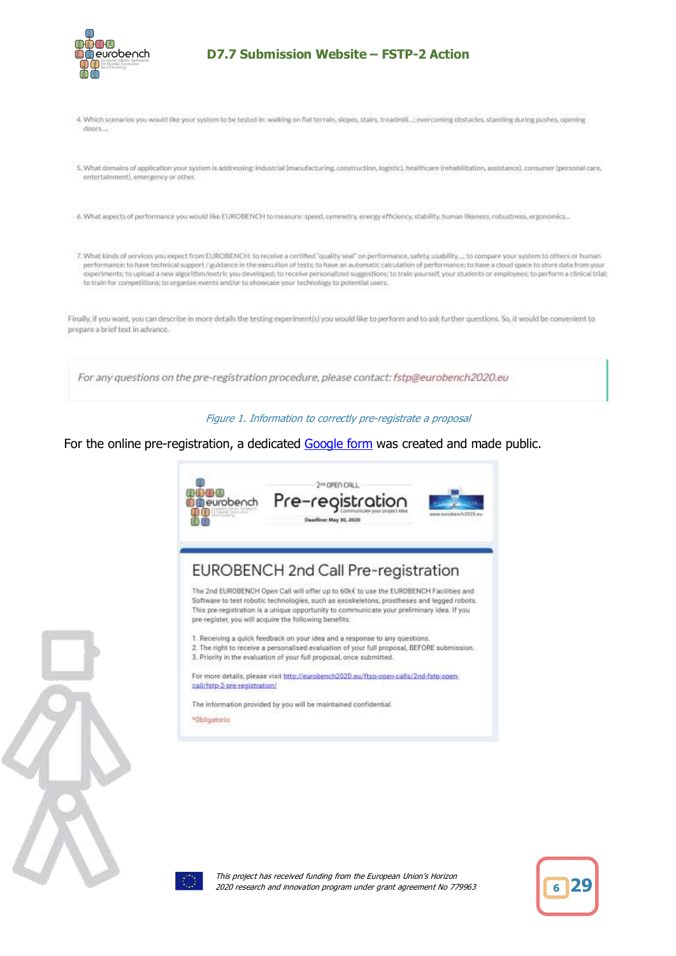

- 4. Which scenarios you would like your system to be tested in; walking on flat terrain, slopes, stairs, treadmill...; overcoming obstacles, standing during pushes, opening doors...
- 5. What domains of application your system is addressing: industrial (manufacturing, construction, logistic), healthcare (rehabilitation, assistance), consumer (personal care, entertainment), emergency or other.
- 6. What aspects of performance you would like EUROBENCH to measure: speed, symmetry, energy efficiency, stability, human likeness, robustness, ergonomics...
- 7. What kinds of services you expect from EUROBENCH: to receive a certified "quality seal" on performance, safety, usability...; to compare your system to others or human performance: to have technical support / guidance in the execution of tests: to have an automatic calculation of performance: to have a cloud space to store data from your experiments: to upload a new algorithm/metric you developed; to receive personalized suggestions; to train yourself, your students or employees; to perform a clinical trial; to train for competitions; to organize events and/or to showcase your technology to potential users.

Finally, if you want, you can describe in more details the testing experiment(s) you would like to perform and to ask further questions. So, it would be convenient to prepare a brief text in advance.

For any questions on the pre-registration procedure, please contact: fstp@eurobench2020.eu

Figure 1. Information to correctly pre-registrate a proposal

For the online pre-registration, a dedicated [Google form](https://docs.google.com/forms/d/e/1FAIpQLSdUXbGMGB-Tk0e_0W5n2ro3EkURUsRBKxbt_2MGYQEEhYgmCA/viewform) was created and made public.







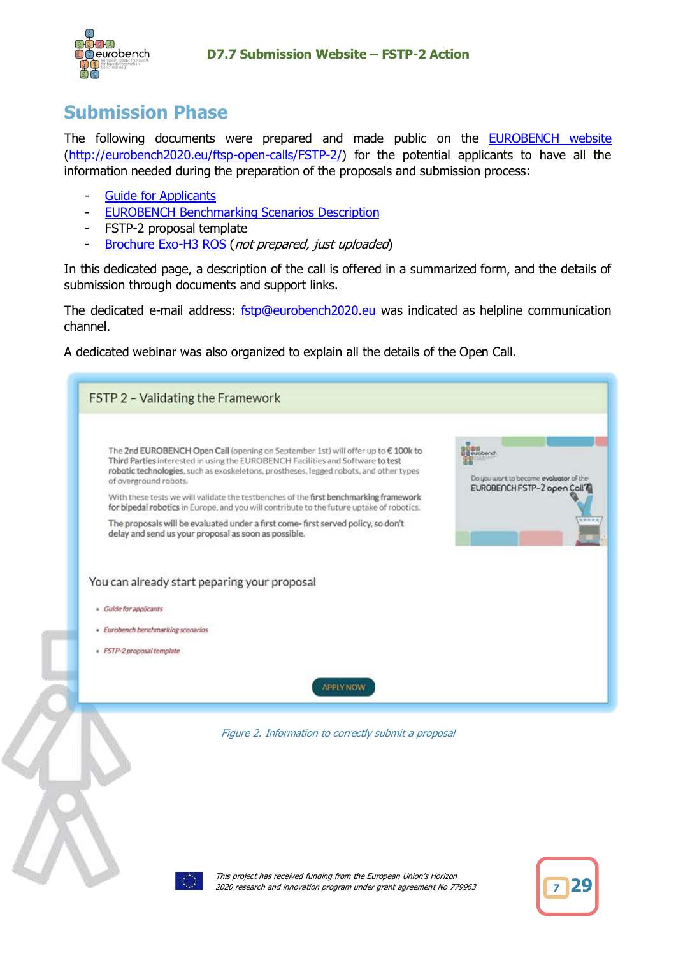

# **Submission Phase**

The following documents were prepared and made public on the **EUROBENCH** website [\(http://eurobench2020.eu/ftsp-open-calls/FSTP-2/\)](http://eurobench2020.eu/ftsp-open-calls/fstp-1/) for the potential applicants to have all the information needed during the preparation of the proposals and submission process:

- [Guide for Applicants](https://eurobench2020.eu/wp-content/uploads/2021/03/FSTP-2-Guide-for-Applicants_v1_vdef_V3.pdf)
- [EUROBENCH Benchmarking Scenarios Description](https://eurobench2020.eu/wp-content/uploads/2020/09/EUROBENCH-benchmarking-scenarios-description_v2.pdf)
- FSTP-2 proposal template
- [Brochure Exo-H3 ROS](https://eurobench2020.eu/wp-content/uploads/2020/09/Brochure-Exo-H3_2020_ROS.pdf) (not prepared, just uploaded)

In this dedicated page, a description of the call is offered in a summarized form, and the details of submission through documents and support links.

The dedicated e-mail address: [fstp@eurobench2020.eu](mailto:fstp@eurobench2020.eu) was indicated as helpline communication channel.

A dedicated webinar was also organized to explain all the details of the Open Call.

| FSTP 2 - Validating the Framework                                                                                                                                                                                                                                                                                                                                                                                                                                                                                                                                                                                                                                                                                 |
|-------------------------------------------------------------------------------------------------------------------------------------------------------------------------------------------------------------------------------------------------------------------------------------------------------------------------------------------------------------------------------------------------------------------------------------------------------------------------------------------------------------------------------------------------------------------------------------------------------------------------------------------------------------------------------------------------------------------|
| The 2nd EUROBENCH Open Call (opening on September 1st) will offer up to € 100k to<br>g eurobench<br>Third Parties interested in using the EUROBENCH Facilities and Software to test<br>robotic technologies, such as exoskeletons, prostheses, legged robots, and other types<br>Do you want to become evaluator of the<br>of overground robots.<br>EUROBENCH FSTP-2 open Coll7<br>With these tests we will validate the testbenches of the first benchmarking framework<br>for bipedal robotics in Europe, and you will contribute to the future uptake of robotics.<br>The proposals will be evaluated under a first come-first served policy, so don't<br>delay and send us your proposal as soon as possible. |
| You can already start peparing your proposal                                                                                                                                                                                                                                                                                                                                                                                                                                                                                                                                                                                                                                                                      |
| · Guide for applicants                                                                                                                                                                                                                                                                                                                                                                                                                                                                                                                                                                                                                                                                                            |
| - Eurobench benchmarking scenarios<br>· FSTP-2 proposal template                                                                                                                                                                                                                                                                                                                                                                                                                                                                                                                                                                                                                                                  |
| <b>APPLY NOW</b>                                                                                                                                                                                                                                                                                                                                                                                                                                                                                                                                                                                                                                                                                                  |
| Figure 2. Information to correctly submit a proposal                                                                                                                                                                                                                                                                                                                                                                                                                                                                                                                                                                                                                                                              |
| This project has received funding from the European Union's Horizon                                                                                                                                                                                                                                                                                                                                                                                                                                                                                                                                                                                                                                               |



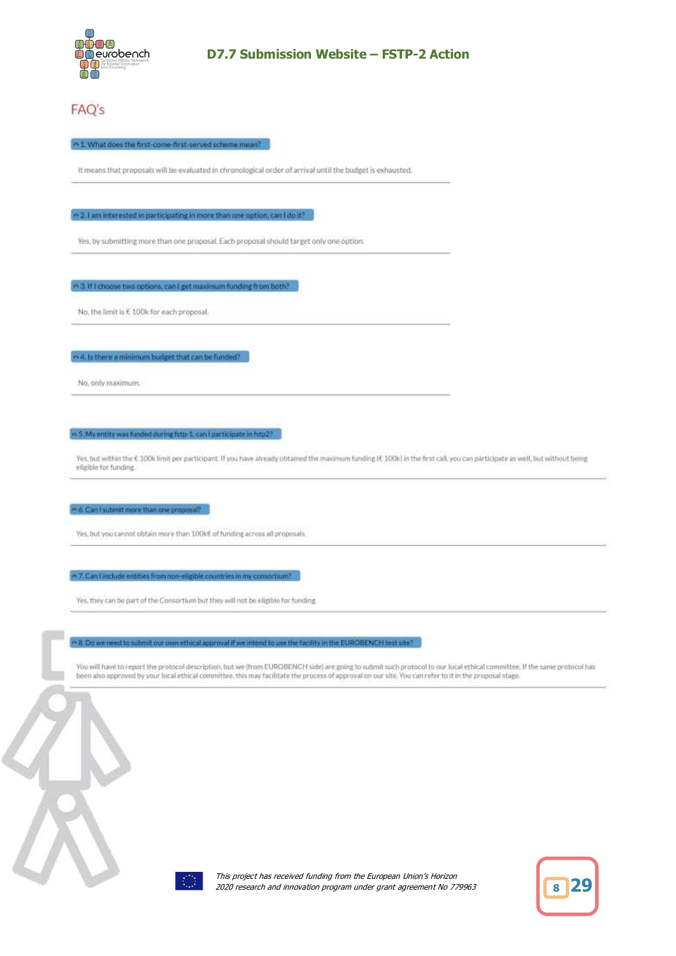

# FAQ's

#### ~1. What does the first-come-first-served scheme mean?

It means that proposals will be evaluated in chronological order of arrival until the budget is exhausted.

 $\sim$  2.1 am interested in participating in more than one option, can I do it?

Yes, by submitting more than one proposal. Each proposal should target only one option.

→ 3. If I choose two options, can I get maximum funding from both?

No, the limit is € 100k for each proposal.

 $\sim$  4. Is there a minimum budget that can be funded?

No. only maximum.

~ 5. My entity was funded during fisto-1, can I participate in fitp 2?

Yes, but within the € 100k limit per participant. If you have already obtained the maximum funding (€ 100k) in the first call, you can participate as well, but without being elipible for funding.

e 6. Can I submit more than one proposal?

Yes, but you cannot obtain more than 100k€ of funding across all proposals.

 $\sim$  7, Can I include entities from non-eligible countries in my consortium?

Yes, they can be part of the Consortium but they will not be eligible for funding.

n B. Do we need to submit our own ethical approval if we intend to use the facility in the EUROBENCH test site?

You will have to report the protocol description, but we (from EUROBENCH side) are going to submit such protocol to our local ethical committee. If the same protocol has been also approved by your local ethical committee, this may facilitate the process of approval on our site. You can refer to it in the proposal stage.



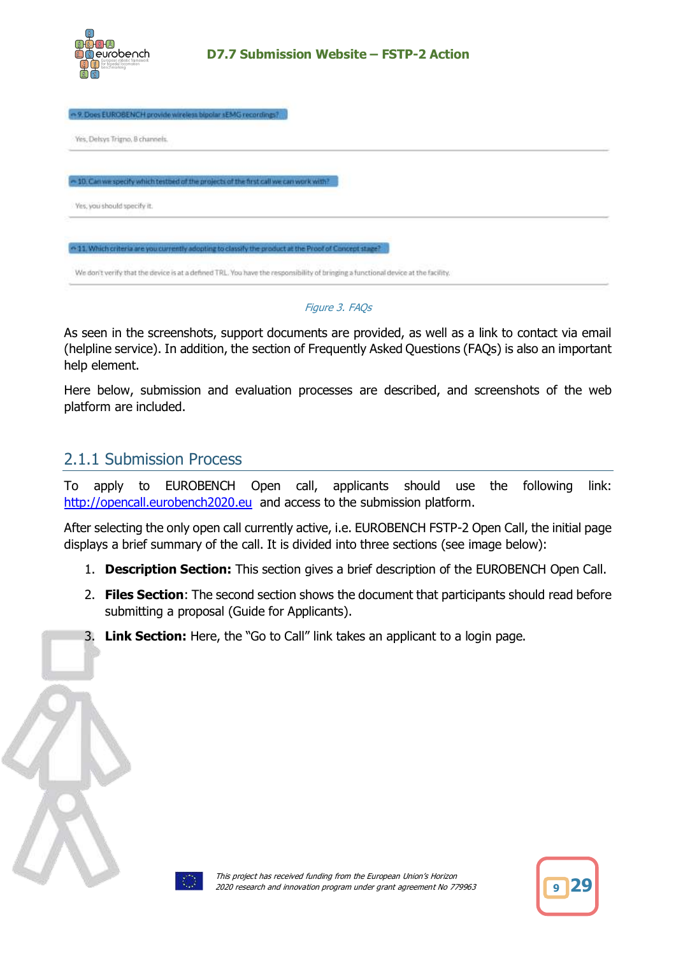

| - 9. Does EUROBENCH provide wireless bipolar sEMG recordings?                                           |  |
|---------------------------------------------------------------------------------------------------------|--|
| Yes, Delsys Trigno, 8 channels.                                                                         |  |
|                                                                                                         |  |
| - 10. Can we specify which testbed of the projects of the first call we can work with?                  |  |
| Yes, you should specify it.                                                                             |  |
| <> 11. Which criteria are you currently adopting to classify the product at the Proof of Concept stage? |  |
|                                                                                                         |  |

Figure 3. FAQs

As seen in the screenshots, support documents are provided, as well as a link to contact via email (helpline service). In addition, the section of Frequently Asked Questions (FAQs) is also an important help element.

Here below, submission and evaluation processes are described, and screenshots of the web platform are included.

# <span id="page-8-0"></span>2.1.1 Submission Process

To apply to EUROBENCH Open call, applicants should use the following link: [http://opencall.eurobench2020.eu](http://opencall.eurobench2020.eu/) and access to the submission platform.

After selecting the only open call currently active, i.e. EUROBENCH FSTP-2 Open Call, the initial page displays a brief summary of the call. It is divided into three sections (see image below):

- 1. **Description Section:** This section gives a brief description of the EUROBENCH Open Call.
- 2. **Files Section**: The second section shows the document that participants should read before submitting a proposal (Guide for Applicants).
- 3. **Link Section:** Here, the "Go to Call" link takes an applicant to a login page.



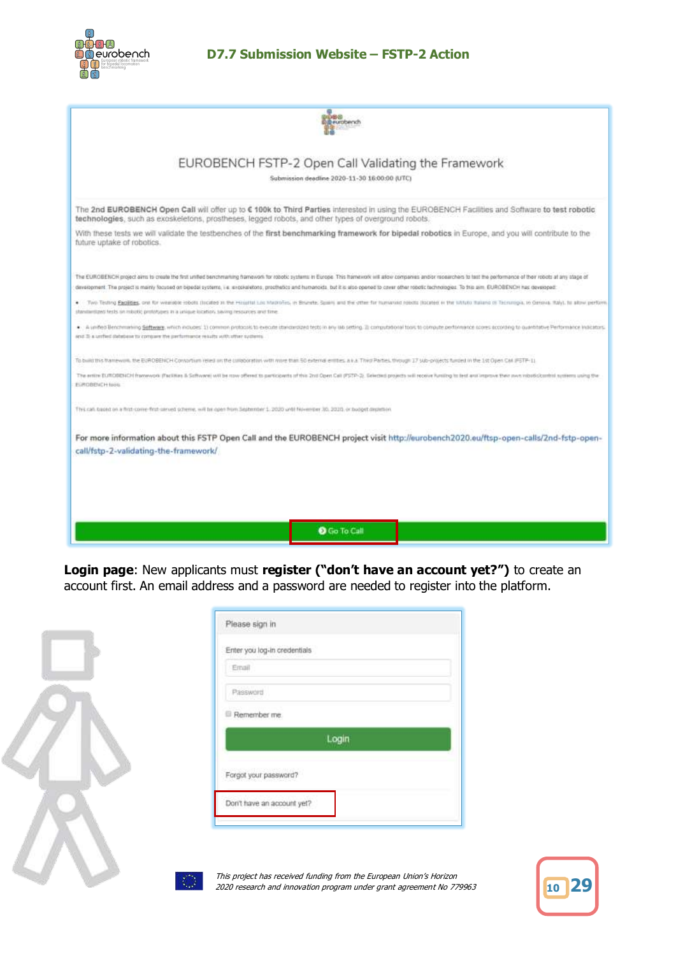

ш

### **D7.7 Submission Website – FSTP-2 Action**

| pere<br>@ewobench                                                                                                                                                                                                                                                                                                                                                                                                                                                                                                                                                                                                                                                  |
|--------------------------------------------------------------------------------------------------------------------------------------------------------------------------------------------------------------------------------------------------------------------------------------------------------------------------------------------------------------------------------------------------------------------------------------------------------------------------------------------------------------------------------------------------------------------------------------------------------------------------------------------------------------------|
| EUROBENCH FSTP-2 Open Call Validating the Framework<br>Submission deadline 2020-11-30 16:00:00 (UTC)                                                                                                                                                                                                                                                                                                                                                                                                                                                                                                                                                               |
| The 2nd EUROBENCH Open Call will offer up to € 100k to Third Parties interested in using the EUROBENCH Facilities and Software to test robotic<br>technologies, such as exoskeletons, prostheses, legged robots, and other types of overground robots.                                                                                                                                                                                                                                                                                                                                                                                                             |
| With these tests we will validate the testbenches of the first benchmarking framework for bipedal robotics in Europe, and you will contribute to the<br>future uptake of robotics.                                                                                                                                                                                                                                                                                                                                                                                                                                                                                 |
| The EUROBENCH project aims to create the first united benchmarking framework for robotic systems in Europe. This framework will allow companies and/or ropparies to test the porformance of their robots at any stage of<br>development The project is mainly focused on bipedal systems, i.e. expokeletons, prochedos and humanoids, but it is also opened to cover other robotic technologies. To this am. EUROBENCH has developed:<br>. Two Testing Papillies, one for wearable robots (incided as the Hospital Los Madrolins, in Brunsha, Spain) and the other for humanoid relatio (located in the listuas did Technique, to Orrova, Italy), he allow perform |
| standardized tests on missilic prototypes in a unique location, saving resources and fime<br>. A united Benchmaning Software, which includes: 1) common protozols to execute ittancies/set tests in any lab setting. 2) computational tops to compute performance scores according to quantititive Performance indicators.<br>and 3 a unfect database to consum the performance results with stren systems.                                                                                                                                                                                                                                                        |
| To build this transwork, the EUROBENCH Convortium relied an the colloboration with more than 50 external entities, a k A Third Parties, through 17 sub-projects funded in the 1st Open CM (FSTP-1).                                                                                                                                                                                                                                                                                                                                                                                                                                                                |
| The entire EUROBENCH framework (Facilities & Software) will be row offered to participants of this 2nd Open Call (PSTP-2). Selected projects will receive furniting to test and improve their own mbob clouds in systems will<br>EUROBENCH Issis.                                                                                                                                                                                                                                                                                                                                                                                                                  |
| This can traced on a first-come-first-served scheme, will be open from September 1: 2020 until November 30, 2020, or budget depletion                                                                                                                                                                                                                                                                                                                                                                                                                                                                                                                              |
| For more information about this FSTP Open Call and the EUROBENCH project visit http://eurobench2020.eu/ftsp-open-calls/2nd-fstp-open-<br>call/fstp-2-validating-the-framework/                                                                                                                                                                                                                                                                                                                                                                                                                                                                                     |
|                                                                                                                                                                                                                                                                                                                                                                                                                                                                                                                                                                                                                                                                    |
|                                                                                                                                                                                                                                                                                                                                                                                                                                                                                                                                                                                                                                                                    |

**Login page**: New applicants must **register ("don't have an account yet?")** to create an account first. An email address and a password are needed to register into the platform.

| Please sign in                                                                                                          |
|-------------------------------------------------------------------------------------------------------------------------|
| Enter you log-in credentials                                                                                            |
| Email                                                                                                                   |
| Password                                                                                                                |
| Remember me.                                                                                                            |
| Login                                                                                                                   |
| Forgot your password?                                                                                                   |
| Don't have an account yet?                                                                                              |
|                                                                                                                         |
| This project has received funding from the European Union's<br>2020 research and innovation program under grant agreeme |

 $\mathsf{r}$ 

| 10 |  |
|----|--|
|    |  |

's Horizon 2020 research and innovation program under grant agreement No 779963 **<sup>10</sup> 29**

i.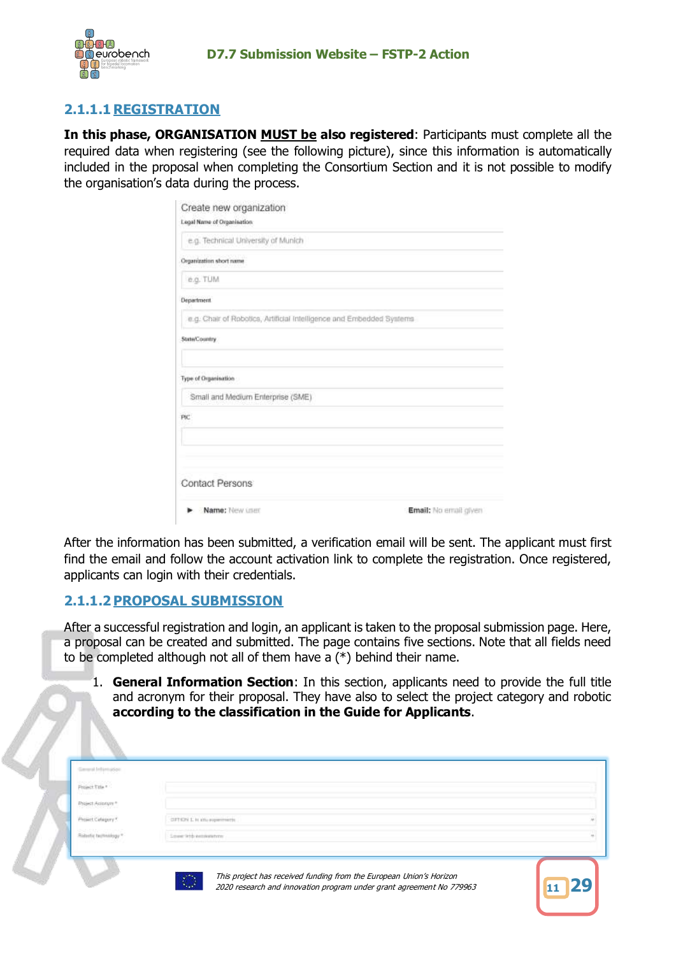

# **2.1.1.1 REGISTRATION**

**In this phase, ORGANISATION MUST be also registered**: Participants must complete all the required data when registering (see the following picture), since this information is automatically included in the proposal when completing the Consortium Section and it is not possible to modify the organisation's data during the process.

| Create new organization<br>Logal Name of Organisation:               |                       |
|----------------------------------------------------------------------|-----------------------|
| e.g. Technical University of Munich                                  |                       |
| Organization short name                                              |                       |
| e.g. TUM                                                             |                       |
| <b>Department</b>                                                    |                       |
| e.g. Chair of Robotics, Artificial Intelligence and Embedded Systems |                       |
| State/Country                                                        |                       |
| Type of Organisation                                                 |                       |
| Small and Medium Enterprise (SME)                                    |                       |
| PIC                                                                  |                       |
|                                                                      |                       |
| <b>Contact Persons</b>                                               |                       |
| Name: New user                                                       | Email: No email given |

After the information has been submitted, a verification email will be sent. The applicant must first find the email and follow the account activation link to complete the registration. Once registered, applicants can login with their credentials.

## **2.1.1.2PROPOSAL SUBMISSION**

After a successful registration and login, an applicant is taken to the proposal submission page. Here, a proposal can be created and submitted. The page contains five sections. Note that all fields need to be completed although not all of them have a (\*) behind their name.

1. **General Information Section**: In this section, applicants need to provide the full title and acronym for their proposal. They have also to select the project category and robotic **according to the classification in the Guide for Applicants**.

| ------------<br>DFTEN L is an experiments |  |
|-------------------------------------------|--|
| Saved lights excolume form                |  |
|                                           |  |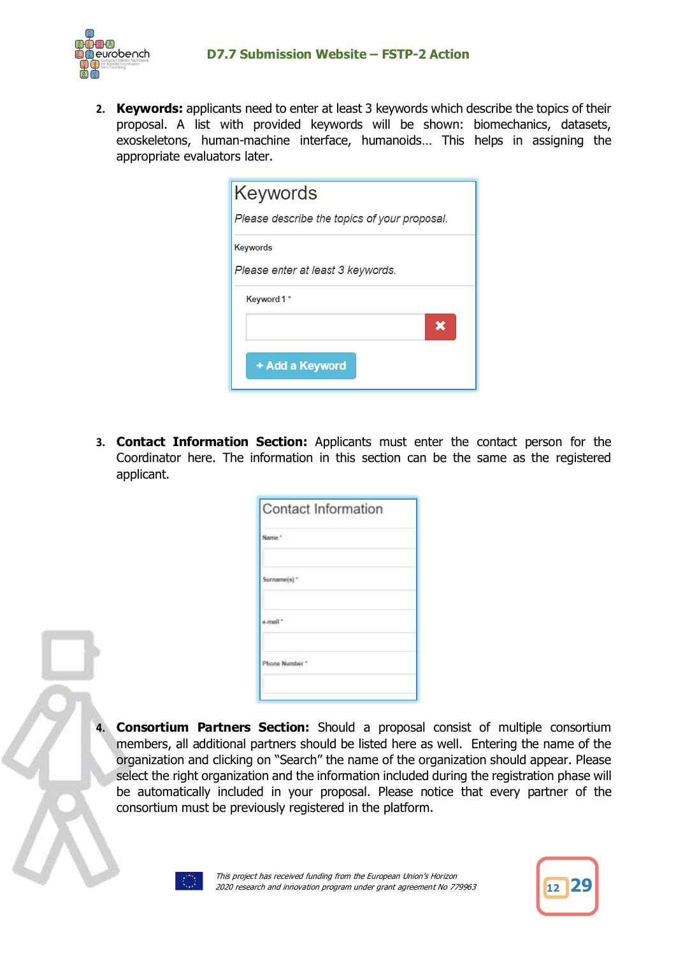

**2. Keywords:** applicants need to enter at least 3 keywords which describe the topics of their proposal. A list with provided keywords will be shown: biomechanics, datasets, exoskeletons, human-machine interface, humanoids… This helps in assigning the appropriate evaluators later.

| Keywords                                     |
|----------------------------------------------|
| Please describe the topics of your proposal. |
| <b>Keywords</b>                              |
| Please enter at least 3 keywords.            |
| Keyword 1*                                   |
| x                                            |
| + Add a Keyword                              |

**3. Contact Information Section:** Applicants must enter the contact person for the Coordinator here. The information in this section can be the same as the registered applicant.

| Contact Information        |  |
|----------------------------|--|
| Name."                     |  |
| $Surnovne(s)$ <sup>*</sup> |  |
| mH                         |  |
| Phone Number *             |  |
|                            |  |

**Consortium Partners Section:** Should a proposal consist of multiple consortium members, all additional partners should be listed here as well. Entering the name of the organization and clicking on "Search" the name of the organization should appear. Please select the right organization and the information included during the registration phase will be automatically included in your proposal. Please notice that every partner of the consortium must be previously registered in the platform.



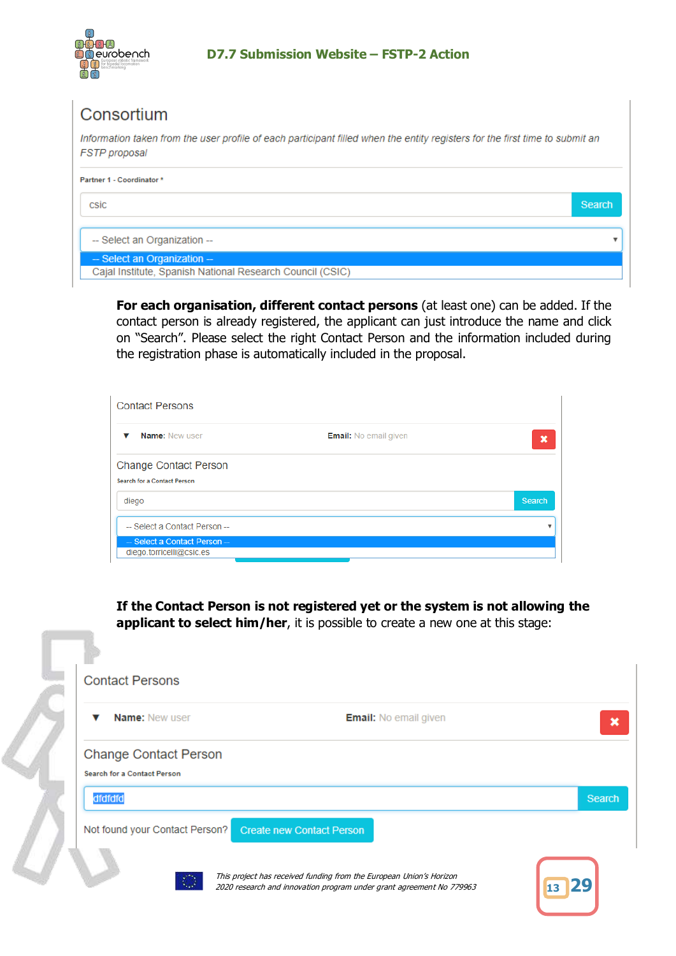

# Consortium

Information taken from the user profile of each participant filled when the entity registers for the first time to submit an FSTP proposal

| Partner 1 - Coordinator *                                                                   |        |
|---------------------------------------------------------------------------------------------|--------|
| csic                                                                                        | Search |
| -- Select an Organization --                                                                |        |
| $-$ Select an Organization $-$<br>Cajal Institute, Spanish National Research Council (CSIC) |        |

**For each organisation, different contact persons** (at least one) can be added. If the contact person is already registered, the applicant can just introduce the name and click on "Search". Please select the right Contact Person and the information included during the registration phase is automatically included in the proposal.

| <b>Contact Persons</b>                                             |                              |        |
|--------------------------------------------------------------------|------------------------------|--------|
| <b>Name: New user</b>                                              | <b>Email:</b> No email given | ×      |
| <b>Change Contact Person</b><br><b>Search for a Contact Person</b> |                              |        |
| diego                                                              |                              | Search |
| -- Select a Contact Person --                                      |                              |        |
| - Select a Contact Person-<br>diego.torricelli@csic.es             |                              |        |

**If the Contact Person is not registered yet or the system is not allowing the applicant to select him/her**, it is possible to create a new one at this stage:

|         | <b>Name: New user</b>              | <b>Email:</b> No email given     |        |
|---------|------------------------------------|----------------------------------|--------|
|         | <b>Change Contact Person</b>       |                                  |        |
|         | <b>Search for a Contact Person</b> |                                  |        |
| dfdfdfd |                                    |                                  | Search |
|         | Not found your Contact Person?     | <b>Create new Contact Person</b> |        |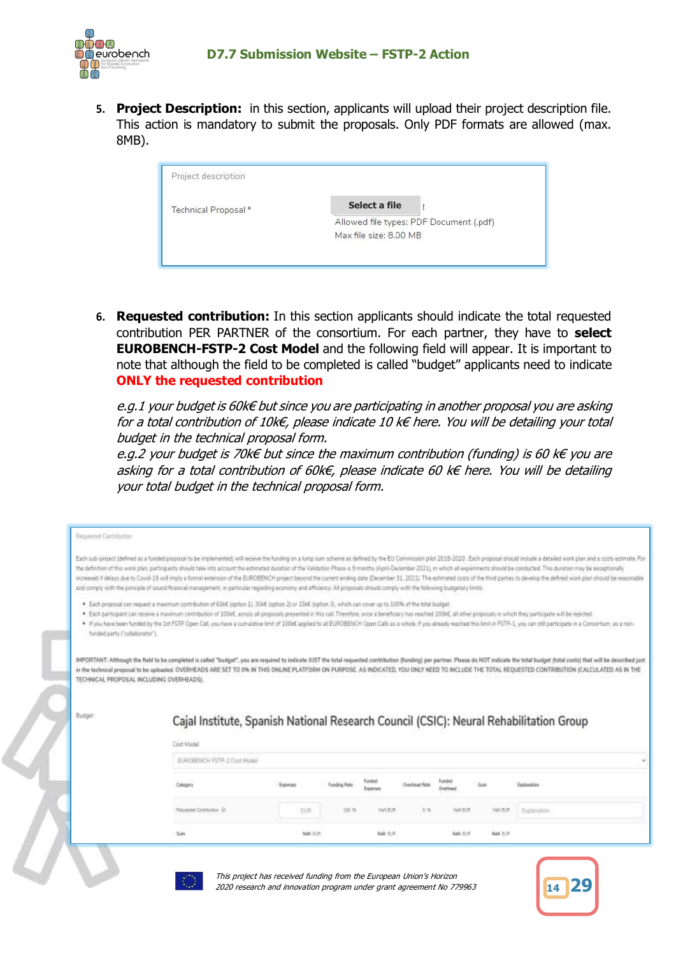

**5. Project Description:** in this section, applicants will upload their project description file. This action is mandatory to submit the proposals. Only PDF formats are allowed (max. 8MB).

| Project description  |                                         |
|----------------------|-----------------------------------------|
| Technical Proposal * | Select a file                           |
|                      | Allowed file types: PDF Document (.pdf) |
|                      | Max file size: 8.00 MB                  |

**6. Requested contribution:** In this section applicants should indicate the total requested contribution PER PARTNER of the consortium. For each partner, they have to **select EUROBENCH-FSTP-2 Cost Model** and the following field will appear. It is important to note that although the field to be completed is called "budget" applicants need to indicate **ONLY the requested contribution**

e.g.1 your budget is 60k€ but since you are participating in another proposal you are asking for a total contribution of 10k€, please indicate 10 k€ here. You will be detailing your total budget in the technical proposal form.

e.g.2 your budget is 70k $\epsilon$  but since the maximum contribution (funding) is 60 k $\epsilon$  you are asking for a total contribution of 60k€, please indicate 60 k€ here. You will be detailing your total budget in the technical proposal form.

| Requested Commitation                                                                                                                                                         |                                                                                                                                                                                                                                                                                                                                                                                            |          |                     |                      |                       |          |           |                                                                                                                                                                                                                                                                                                                                                                                                                                                                                                                                                                                                                                                                                                    |  |
|-------------------------------------------------------------------------------------------------------------------------------------------------------------------------------|--------------------------------------------------------------------------------------------------------------------------------------------------------------------------------------------------------------------------------------------------------------------------------------------------------------------------------------------------------------------------------------------|----------|---------------------|----------------------|-----------------------|----------|-----------|----------------------------------------------------------------------------------------------------------------------------------------------------------------------------------------------------------------------------------------------------------------------------------------------------------------------------------------------------------------------------------------------------------------------------------------------------------------------------------------------------------------------------------------------------------------------------------------------------------------------------------------------------------------------------------------------------|--|
| and comply with the principle of sound financial management, in particular regarding economy and efficiency. All proposals should comply with the following budgetary limits: |                                                                                                                                                                                                                                                                                                                                                                                            |          |                     |                      |                       |          |           | Each sub-project (defined as a funded proposal to be implemented) will receive the funding on a kump sum scheme as defined by the EO Commission pilot 2018-2020 . Each proposal should include a detailed work plan and a cost<br>the definition of this work plan, participants should take into account the extimated duration of the Validation Phase is 9 months (April-December 2021), in which all experiments should be conducted. This duration may be e<br>increased if delays due to Covid-19 will imply a formal extension of the EUROBENCH project beyond the current ending date (December 31, 2021). The estimated costs of the third parties to develop the defined work plan shoul |  |
| funded party ("collaborator").                                                                                                                                                | . Each proposal can request a maximum contribution of 60kK (option 1). 30kK (option 2) or 15kK (option 3), which can cover up to 100% of the total budget.<br>. Each participant can receive a maximum contribution of 1004C, across all proposals presented in this call. Therefore, once a beneficiary has reached 100kC, all other proposals in which they participate will be reached. |          |                     |                      |                       |          |           | . If you have been funded by the 1st FSTP Open Call, you have a cumulative limit of 100kC applied to all EUROBENCH Open Calls as a whole. If you already reached this limit in FSTP-1, you can still participate in a Consorti                                                                                                                                                                                                                                                                                                                                                                                                                                                                     |  |
| TECHNICAL PROPOSAL INCLUDING OVERHEADS).                                                                                                                                      |                                                                                                                                                                                                                                                                                                                                                                                            |          |                     |                      |                       |          |           | IMPORTANT: Although the field to be completed is cafed "hudget", you are required to indicate JUST the total requested contribution (funding) per partner. Please do NOT indicate the total budget (total costs) that will be<br>in the technical proposal to be uploaded. OVERHEADS ARE SET TO 0% IN THIS ONLINE PLATFORM ON PURPOSE. AS INDICATED, YOU ONLY NEED TO INCLUDE THE TOTAL REQUESTED CONTRIBUTION (CALCULATED AS IN THE                                                                                                                                                                                                                                                               |  |
| Budget                                                                                                                                                                        | Cajal Institute, Spanish National Research Council (CSIC): Neural Rehabilitation Group                                                                                                                                                                                                                                                                                                     |          |                     |                      |                       |          |           |                                                                                                                                                                                                                                                                                                                                                                                                                                                                                                                                                                                                                                                                                                    |  |
|                                                                                                                                                                               | Cost Model<br>EUROBENOH FSTR-2 Cost Modal                                                                                                                                                                                                                                                                                                                                                  |          |                     |                      |                       |          |           |                                                                                                                                                                                                                                                                                                                                                                                                                                                                                                                                                                                                                                                                                                    |  |
|                                                                                                                                                                               | Category                                                                                                                                                                                                                                                                                                                                                                                   | Expenses | <b>Funding Rate</b> | Funded<br>Expertises | <b>Cherlocal Rate</b> | Overhaad |           | Exitination                                                                                                                                                                                                                                                                                                                                                                                                                                                                                                                                                                                                                                                                                        |  |
|                                                                                                                                                                               | <b>Resulted Contributor, (D)</b>                                                                                                                                                                                                                                                                                                                                                           | 玉原       | 100 m               | <b>AMCDUR</b>        | 三角                    | NANDUN   | NAV EUR   | Explanation                                                                                                                                                                                                                                                                                                                                                                                                                                                                                                                                                                                                                                                                                        |  |
|                                                                                                                                                                               | San                                                                                                                                                                                                                                                                                                                                                                                        | NAV E.R  |                     | <b>NAN JURI</b>      |                       | NeW YOR  | Nati bulb |                                                                                                                                                                                                                                                                                                                                                                                                                                                                                                                                                                                                                                                                                                    |  |
|                                                                                                                                                                               |                                                                                                                                                                                                                                                                                                                                                                                            |          |                     |                      |                       |          |           |                                                                                                                                                                                                                                                                                                                                                                                                                                                                                                                                                                                                                                                                                                    |  |



This project has received funding from the European Union's Horizon 2020 research and innovation program under grant agreement No 779963 **<sup>14</sup> 29**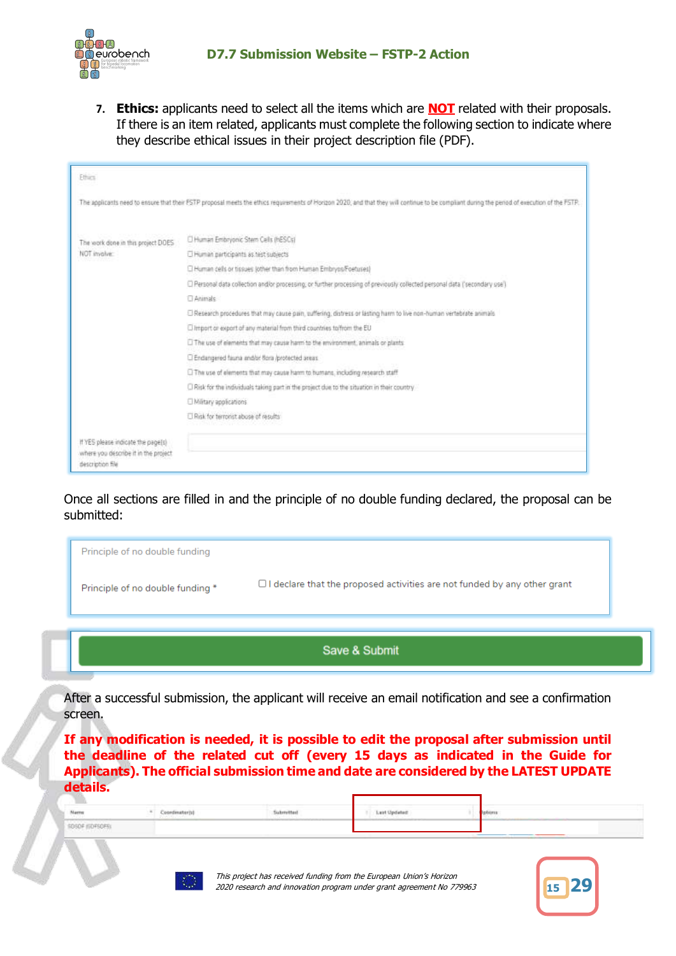

**7. Ethics:** applicants need to select all the items which are **NOT** related with their proposals. If there is an item related, applicants must complete the following section to indicate where they describe ethical issues in their project description file (PDF).

| <b>Ethics</b>                                                                                   |                                                                                                                                                                                               |  |  |  |  |  |  |
|-------------------------------------------------------------------------------------------------|-----------------------------------------------------------------------------------------------------------------------------------------------------------------------------------------------|--|--|--|--|--|--|
|                                                                                                 | The applicants need to ensure that their FSTP proposal meets the ethics requirements of Horizon 2020, and that they will continue to be compliant during the period of execution of the FSTP. |  |  |  |  |  |  |
| The work done in this project DOES                                                              | C Human Embryonic Stem Cells (hESCs)                                                                                                                                                          |  |  |  |  |  |  |
| NOT involve:                                                                                    | Human participants as test subjects                                                                                                                                                           |  |  |  |  |  |  |
|                                                                                                 | C Human cells or tissues jother than from Human Embryos/Foetuses)                                                                                                                             |  |  |  |  |  |  |
|                                                                                                 | C Personal data collection and/or processing, or further processing of previously collected personal data ('secondary use')                                                                   |  |  |  |  |  |  |
|                                                                                                 | <b>El Animals</b>                                                                                                                                                                             |  |  |  |  |  |  |
|                                                                                                 | El Research procedures that may cause pain, suffering, distress or lasting harm to live non-human vertebrate animals                                                                          |  |  |  |  |  |  |
|                                                                                                 | C Import or export of any material from third countries to from the EU                                                                                                                        |  |  |  |  |  |  |
|                                                                                                 | [1] The use of elements that may cause harm to the environment, animals or plants.                                                                                                            |  |  |  |  |  |  |
|                                                                                                 | Endangered fauna and/or flora /protected areas                                                                                                                                                |  |  |  |  |  |  |
|                                                                                                 | El The use of elements that may cause harm to humans, including research staff                                                                                                                |  |  |  |  |  |  |
|                                                                                                 | C Risk for the individuals taking part in the project due to the situation in their country                                                                                                   |  |  |  |  |  |  |
|                                                                                                 | <b>UMilitary applications</b>                                                                                                                                                                 |  |  |  |  |  |  |
|                                                                                                 | C Risk for terrorist abuse of results                                                                                                                                                         |  |  |  |  |  |  |
| If YES please indicate the page[s]<br>where you describe it in the project.<br>description file |                                                                                                                                                                                               |  |  |  |  |  |  |

Once all sections are filled in and the principle of no double funding declared, the proposal can be submitted:

|                                  | Save & Submit                                                                   |
|----------------------------------|---------------------------------------------------------------------------------|
|                                  |                                                                                 |
| Principle of no double funding * | $\Box$ I declare that the proposed activities are not funded by any other grant |
| Principle of no double funding   |                                                                                 |

After a successful submission, the applicant will receive an email notification and see a confirmation screen.

**If any modification is needed, it is possible to edit the proposal after submission until the deadline of the related cut off (every 15 days as indicated in the Guide for Applicants). The official submission time and date are considered by the LATEST UPDATE details.**

| Nems                   | /andmateriy | <b>kommitte</b><br>. | Last Updated |  |
|------------------------|-------------|----------------------|--------------|--|
| <b>SOSOF (SOFSOFS)</b> |             |                      |              |  |



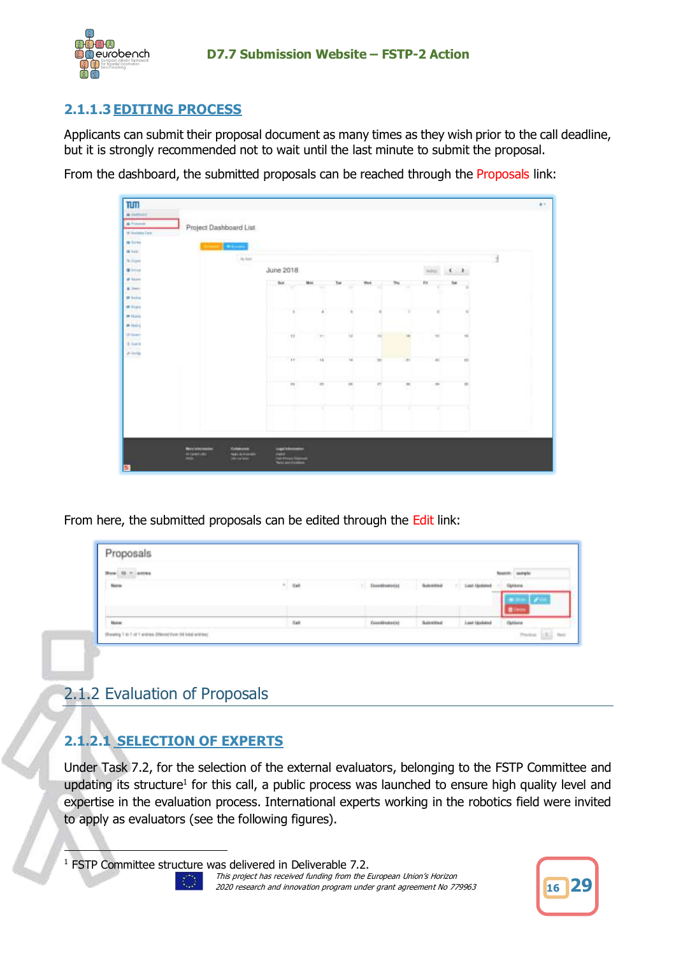

# **2.1.1.3EDITING PROCESS**

Applicants can submit their proposal document as many times as they wish prior to the call deadline, but it is strongly recommended not to wait until the last minute to submit the proposal.

From the dashboard, the submitted proposals can be reached through the Proposals link:

| TUTT<br>Allenet<br><b>A Former</b><br>Project Dashboard List                          |                         |                      |               |                           |              |               |                        | $\mathbf{z}$ |
|---------------------------------------------------------------------------------------|-------------------------|----------------------|---------------|---------------------------|--------------|---------------|------------------------|--------------|
| Wilmiam Tyle<br>a tour<br><b>Distance</b><br>us z<br><b>Millet</b><br>$-11.01$        |                         |                      |               |                           |              |               |                        |              |
| Ap both<br>N. mpm<br><b>TUGE</b><br><b>Wildlife</b>                                   | June 2018               |                      |               |                           |              | inter         | $\epsilon \rightarrow$ |              |
| at him<br><b>Account</b><br>$47 -$<br><b>B</b> bakes                                  | list<br>÷               | 1800<br>÷            | Tot<br>m      | <b>West</b><br><b>SPE</b> | The<br>÷     | m<br>×<br>m   | <b>Gai</b><br>×<br>18  |              |
| <b>MALLAST</b><br>* Hall                                                              |                         |                      |               |                           |              |               |                        |              |
| $+$ then<br>of South<br><b>Mary A</b><br>6 mins                                       | 12                      | IT.                  | til.<br>o     | 10                        | $\mathbf{m}$ | $\sim$        |                        |              |
| $\lambda$ in Eq.<br>---                                                               | <b>Ye</b>               | $^{16}$              | $\mathcal{L}$ | $\pi$                     | $-81$        | $\frac{1}{2}$ | 22                     |              |
|                                                                                       | $\alpha$                | $\overline{11}$<br>m | m.            | m                         | п.           | $\sim$        | $\equiv$               |              |
|                                                                                       |                         | ×                    | ٠             |                           | ×            | т             |                        |              |
|                                                                                       |                         |                      |               |                           |              |               |                        |              |
| Mary Edgework<br>Eublisten<br><b>Marchine</b><br><b>NELECTIONS</b><br><b>DEVENTOR</b> | <b>Logic Industries</b> |                      |               |                           |              |               |                        |              |

From here, the submitted proposals can be edited through the Edit link:

| New         | $+ - 0.6$ | Cannonatonal<br>The Second Control of the Second | and the Fold         | <b>Aldollasse</b><br><b>STATISTICS</b> | lationi |
|-------------|-----------|--------------------------------------------------|----------------------|----------------------------------------|---------|
|             |           |                                                  |                      |                                        |         |
|             |           |                                                  |                      |                                        |         |
| <b>Hamm</b> | Eat       | Docentinatedal                                   | <b>Suite of Find</b> | tion                                   | Options |

# <span id="page-15-0"></span>2.1.2 Evaluation of Proposals

# **2.1.2.1 SELECTION OF EXPERTS**

Under Task 7.2, for the selection of the external evaluators, belonging to the FSTP Committee and updating its structure<sup>1</sup> for this call, a public process was launched to ensure high quality level and expertise in the evaluation process. International experts working in the robotics field were invited to apply as evaluators (see the following figures).

This project has received funding from the European Union's Horizon 2020 research and innovation program under grant agreement No 779963 **<sup>16</sup> 29**



<sup>&</sup>lt;sup>1</sup> FSTP Committee structure was delivered in Deliverable 7.2.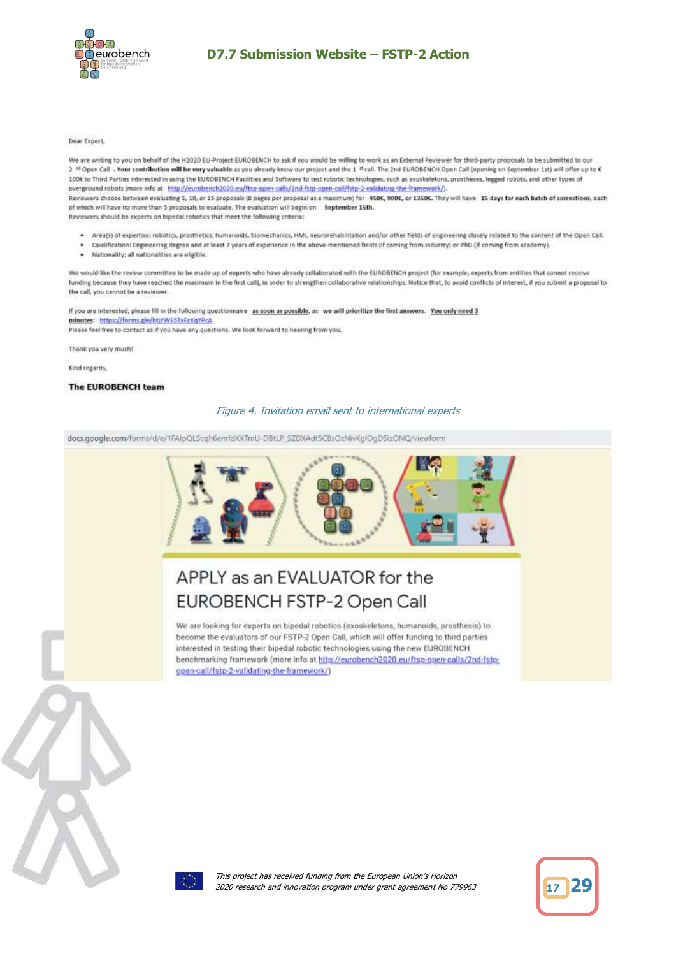

#### Dear Expert,

We are writing to you on behalf of the H2020 EU-Project EUROBENCH to ask if you would be willing to work as an External Reviewer for third-party proposals to be submitted to our 2 <sup>nd</sup> Open Call . Your contribution will be very valuable as you already know our project and the 1 <sup>nt</sup> call. The 2nd EUROBENCH Open Call (opening on September 1st) will offer up to 6 100k to Third Parties interested in using the EUROBENCH Facilities and Software to test robotic technologies, such as exoskeletons, prostheses, legged robots, and other types of overground robots (more info at http://eurobench2020.eu/ftsp-open-calls/2nd-fstp-open-call/fstp-2-validating-the-framework/). Reviewers choose between evaluating 5, 10, or 15 proposals (8 pages per proposal as a maximum) for 450€, 900€, or 1350€. They will have 15 days for each batch of corrections, each of which will have no more than 5 proposals to evaluate. The evaluation will begin on September 15th. Reviewers should be experts on bipedal robotics that meet the following criteria:

- Area(s) of expertise: robotics, prosthetics, humanoids, biomechanics, HML, neurorehabilitation and/or other fields of engineering closely related to the content of the Open Call.
- Qualification: Engineering degree and at least 7 years of experience in the above-mentioned fields (if coming from industry) or PhD (if coming from academy).
- Nationality: all nationalities are eligible.

We would like the review committee to be made up of experts who have already collaborated with the EUROBENCH project (for example, experts from entities that cannot receive funding because they have reached the maximum in the first call), in order to strengthen collaborative relationships. Notice that, to avoid conflicts of interest, if you submit a proposal to the call, you cannot be a reviewer.

If you are interested, please fill in the following questionnaire as soon as possible, as we will prioritize the first answers. You only need 3 minutes: https://forms.gle/btjYWE51xEcXqYPcA Please feel free to contact us if you have any questions. We look forward to hearing from you.

Thank you very much!

Kind regards,

#### The EUROBENCH team

#### Figure 4. Invitation email sent to international experts

docs.google.com/forms/d/e/1FAIpQLScqh6emfdXXTmU-DBtLP\_SZDXAdtSCBsOzNivKgIOgDStzONQ/viewform



# APPLY as an EVALUATOR for the **EUROBENCH FSTP-2 Open Call**

We are looking for experts on bipedal robotics (exoskeletons, humanoids, prosthesis) to become the evaluators of our FSTP-2 Open Call, which will offer funding to third parties interested in testing their bipedal robotic technologies using the new EUROBENCH benchmarking framework (more info at http://eurobench2020.eu/ftsp-open-calls/2nd-fstpopen-call/fstp-2-validating-the-framework/)



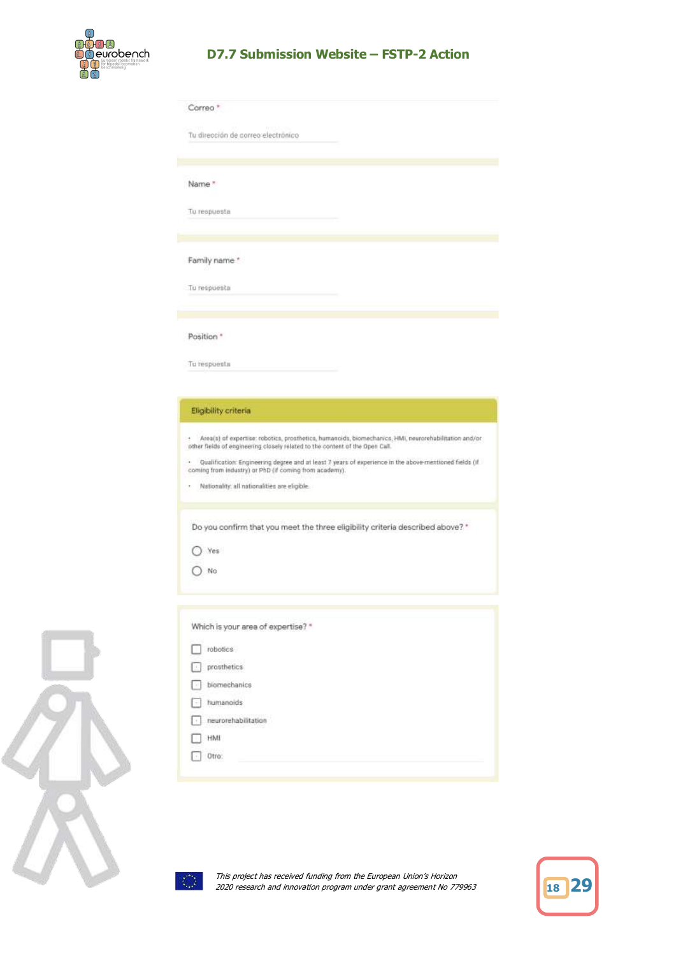

| Correo <sup>*</sup> |                                                                                                                                                                                                                                                                                                                                                                                                          |
|---------------------|----------------------------------------------------------------------------------------------------------------------------------------------------------------------------------------------------------------------------------------------------------------------------------------------------------------------------------------------------------------------------------------------------------|
|                     | Tu dirección de correo electrónico                                                                                                                                                                                                                                                                                                                                                                       |
| Name *              |                                                                                                                                                                                                                                                                                                                                                                                                          |
|                     | Tu respuesta                                                                                                                                                                                                                                                                                                                                                                                             |
|                     | Family name*                                                                                                                                                                                                                                                                                                                                                                                             |
|                     | Tu respuesta                                                                                                                                                                                                                                                                                                                                                                                             |
| Position *          |                                                                                                                                                                                                                                                                                                                                                                                                          |
|                     | Tu respuesta                                                                                                                                                                                                                                                                                                                                                                                             |
|                     | Eligibility criteria                                                                                                                                                                                                                                                                                                                                                                                     |
| t<br>٠              | Area(s) of expertise: robotics, prosthetics, humanoids, biomechanics, HMI, neurorehabilitation and/or<br>other fields of engineering closely related to the content of the Open Call.<br>Qualification: Engineering degree and at least 7 years of experience in the above-mentioned fields (if<br>coming from industry) or PhD (if coming from academy).<br>Nationality: all nationalities are elipble. |
|                     | Do you confirm that you meet the three eligibility criteria described above? *                                                                                                                                                                                                                                                                                                                           |
|                     | Yes<br>No                                                                                                                                                                                                                                                                                                                                                                                                |
|                     | Which is your area of expertise? *                                                                                                                                                                                                                                                                                                                                                                       |
|                     | robotics                                                                                                                                                                                                                                                                                                                                                                                                 |
|                     | prosthetics.                                                                                                                                                                                                                                                                                                                                                                                             |
|                     | biomechanics                                                                                                                                                                                                                                                                                                                                                                                             |
|                     | humanoids                                                                                                                                                                                                                                                                                                                                                                                                |
|                     | neurorehabilitation<br>HMI                                                                                                                                                                                                                                                                                                                                                                               |





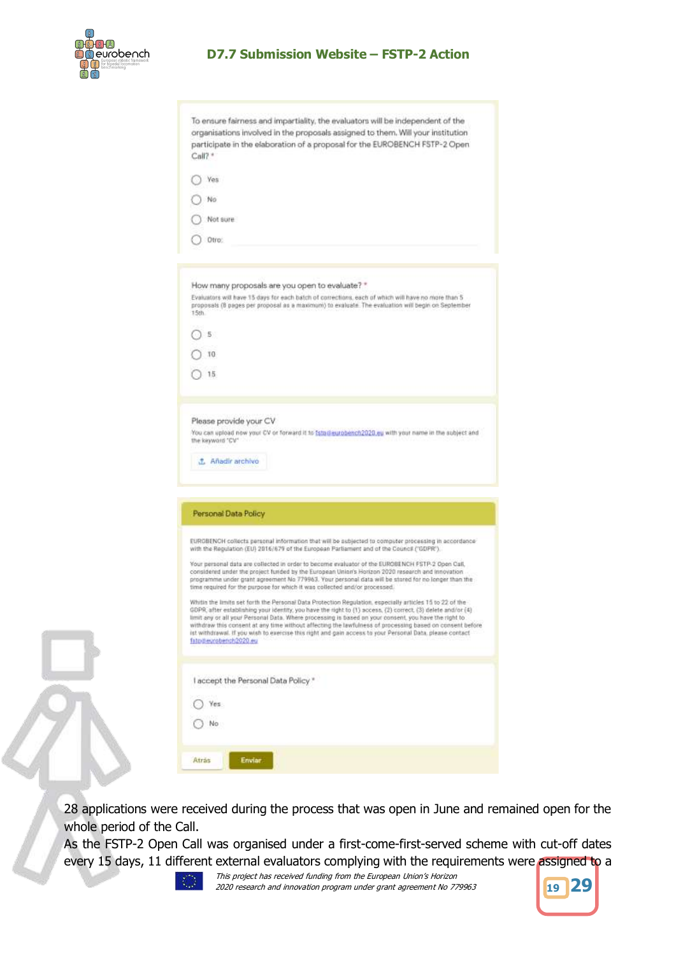

|              | To ensure fairness and impartiality, the evaluators will be independent of the<br>organisations involved in the proposals assigned to them. Will your institution                                                     |
|--------------|-----------------------------------------------------------------------------------------------------------------------------------------------------------------------------------------------------------------------|
|              | participate in the elaboration of a proposal for the EUROBENCH FSTP-2 Open                                                                                                                                            |
| $Call?$ *    |                                                                                                                                                                                                                       |
|              |                                                                                                                                                                                                                       |
|              | Yes                                                                                                                                                                                                                   |
|              |                                                                                                                                                                                                                       |
|              | No                                                                                                                                                                                                                    |
|              | Not sure                                                                                                                                                                                                              |
|              |                                                                                                                                                                                                                       |
|              | Otro:                                                                                                                                                                                                                 |
|              |                                                                                                                                                                                                                       |
|              |                                                                                                                                                                                                                       |
|              | How many proposals are you open to evaluate? *                                                                                                                                                                        |
|              | Evaluators will have 15 days for each batch of corrections, each of which will have no more than 5<br>proposals (B pages per proposal as a maximum) to evaluate. The evaluation will begin on September               |
| 15th         |                                                                                                                                                                                                                       |
|              | 5.                                                                                                                                                                                                                    |
|              |                                                                                                                                                                                                                       |
|              | 10                                                                                                                                                                                                                    |
|              | 15                                                                                                                                                                                                                    |
|              |                                                                                                                                                                                                                       |
|              |                                                                                                                                                                                                                       |
|              | Please provide your CV                                                                                                                                                                                                |
|              | You can upload now your CV or forward it to istadieurobench2020 eu with your name in the subject and<br>the keyword "CV"                                                                                              |
|              |                                                                                                                                                                                                                       |
|              | J. Añadir archivo                                                                                                                                                                                                     |
|              |                                                                                                                                                                                                                       |
|              |                                                                                                                                                                                                                       |
|              | Personal Data Policy                                                                                                                                                                                                  |
|              |                                                                                                                                                                                                                       |
|              | EUROBENCH collects personal information that will be subjected to computer processing in accordance                                                                                                                   |
|              | with the Regulation (EU) 2016/679 of the European Parliament and of the Council ("GDPR").                                                                                                                             |
|              | Your personal data are collected in order to become evaluator of the EUROBENCH FSTP-2 Open Call,<br>considered under the project funded by the European Union's Horizon 2020 research and innovation                  |
|              | programme under grant agreement No 779963. Your personal data will be stored for no longer than the                                                                                                                   |
|              | time required for the purpose for which it was collected and/or processed.                                                                                                                                            |
|              | Whitin the limits set forth the Personal Data Protection Regulation, especially articles 15 to 22 of the-                                                                                                             |
|              | GUPR, after establishing your identity, you have the right to (1) access, (2) correct, (3) delete and/or (4)<br>limit any or all your Personal Data. Where processing is based on your consent, you have the right to |
|              | withdraw this consent at any time without affecting the lawfulness of processing based on consent before<br>ist withdrawal. If you wish to exercise this right and gain access to your Personal Data, please contact  |
|              | fstpdiesrobench2020.eu                                                                                                                                                                                                |
|              |                                                                                                                                                                                                                       |
|              | I accept the Personal Data Policy *                                                                                                                                                                                   |
|              |                                                                                                                                                                                                                       |
|              | Yes                                                                                                                                                                                                                   |
|              | No                                                                                                                                                                                                                    |
|              |                                                                                                                                                                                                                       |
|              |                                                                                                                                                                                                                       |
|              |                                                                                                                                                                                                                       |
| <b>Atras</b> | <b>Enviar</b>                                                                                                                                                                                                         |

28 applications were received during the process that was open in June and remained open for the whole period of the Call.

As the FSTP-2 Open Call was organised under a first-come-first-served scheme with cut-off dates every 15 days, 11 different external evaluators complying with the requirements were assigned to a



This project has received funding from the European Union's Horizon 2020 research and innovation program under grant agreement No 779963 **<sup>19</sup> 29**

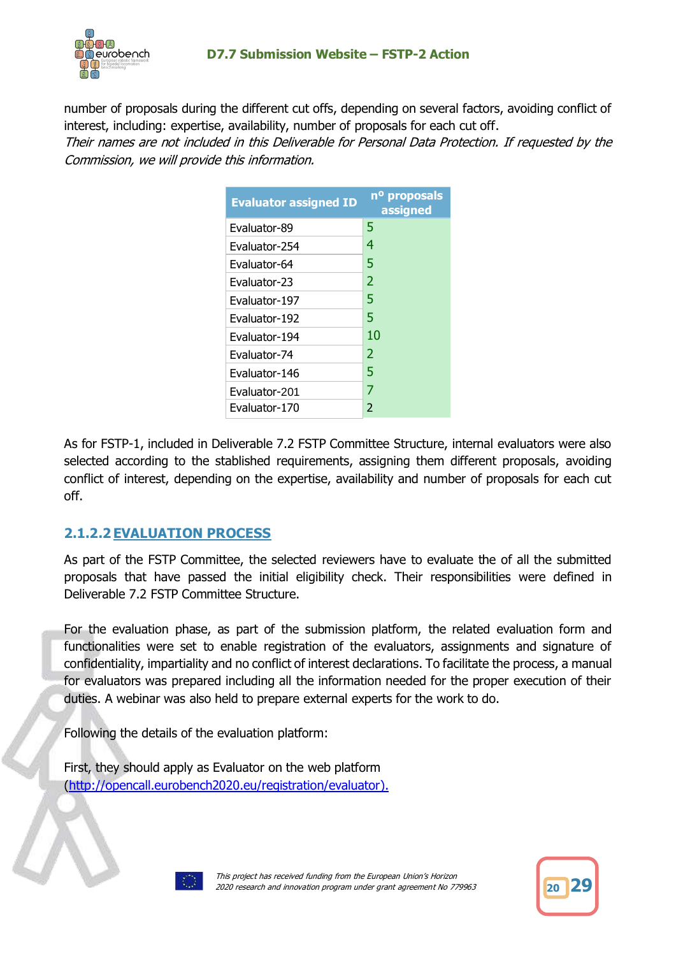

number of proposals during the different cut offs, depending on several factors, avoiding conflict of interest, including: expertise, availability, number of proposals for each cut off.

Their names are not included in this Deliverable for Personal Data Protection. If requested by the Commission, we will provide this information.

| <b>Evaluator assigned ID</b> | n <sup>o</sup> proposals<br>assigned |
|------------------------------|--------------------------------------|
| Evaluator-89                 | 5                                    |
| Evaluator-254                | 4                                    |
| Evaluator-64                 | 5                                    |
| Evaluator-23                 | 2                                    |
| Evaluator-197                | 5                                    |
| Evaluator-192                | 5                                    |
| Evaluator-194                | 10                                   |
| Evaluator-74                 | 2                                    |
| Evaluator-146                | 5                                    |
| Evaluator-201                | 7                                    |
| Evaluator-170                | 2                                    |

As for FSTP-1, included in Deliverable 7.2 FSTP Committee Structure, internal evaluators were also selected according to the stablished requirements, assigning them different proposals, avoiding conflict of interest, depending on the expertise, availability and number of proposals for each cut off.

## **2.1.2.2EVALUATION PROCESS**

As part of the FSTP Committee, the selected reviewers have to evaluate the of all the submitted proposals that have passed the initial eligibility check. Their responsibilities were defined in Deliverable 7.2 FSTP Committee Structure.

For the evaluation phase, as part of the submission platform, the related evaluation form and functionalities were set to enable registration of the evaluators, assignments and signature of confidentiality, impartiality and no conflict of interest declarations. To facilitate the process, a manual for evaluators was prepared including all the information needed for the proper execution of their duties. A webinar was also held to prepare external experts for the work to do.

Following the details of the evaluation platform:

First, they should apply as Evaluator on the web platform [\(http://opencall.eurobench2020.eu/registration/evaluator\)](http://opencall.eurobench2020.eu/registration/evaluator).



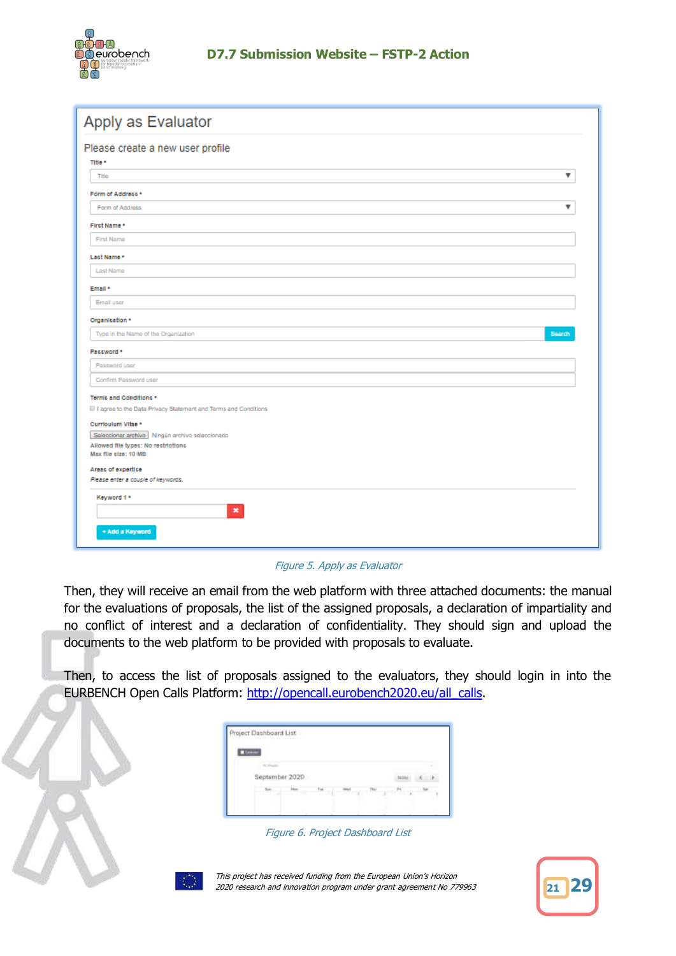

| Apply as Evaluator                                                 |
|--------------------------------------------------------------------|
| Please create a new user profile<br>Title *                        |
| ▼<br>Title                                                         |
| Form of Address *                                                  |
| ▼<br>Form of Address                                               |
| First Name*                                                        |
| First Name                                                         |
| Last Name *                                                        |
| Last Name                                                          |
| Email *                                                            |
| Email user                                                         |
| Organisation *                                                     |
| Type in the Name of the Organization<br>Search                     |
| Password *                                                         |
| Password user                                                      |
| Confirm Password user                                              |
| Terms and Conditions *                                             |
| III I agree to the Data Privacy Statement and Terms and Conditions |
| Curriculum Vitae *                                                 |
| Seleccionar archivo Ningún archivo seleccionado                    |
| Allowed file types: No restrictions                                |
| Max file cize: 10 MB                                               |
| Areas of expertise                                                 |
| Please enter a couple of keywords.                                 |
| Keyword 1*                                                         |
| $\mathbf{x}$                                                       |
| + Add a Keyword                                                    |

#### Figure 5. Apply as Evaluator

Then, they will receive an email from the web platform with three attached documents: the manual for the evaluations of proposals, the list of the assigned proposals, a declaration of impartiality and no conflict of interest and a declaration of confidentiality. They should sign and upload the documents to the web platform to be provided with proposals to evaluate.

Then, to access the list of proposals assigned to the evaluators, they should login in into the EURBENCH Open Calls Platform: [http://opencall.eurobench2020.eu/all\\_calls.](http://opencall.eurobench2020.eu/all_calls)

| --- |                |  |  |  |
|-----|----------------|--|--|--|
|     |                |  |  |  |
|     | September 2020 |  |  |  |
|     |                |  |  |  |

Figure 6. Project Dashboard List



This project has received funding from the European Union's Horizon 2020 research and innovation program under grant agreement No 779963 **<sup>21</sup> 29**

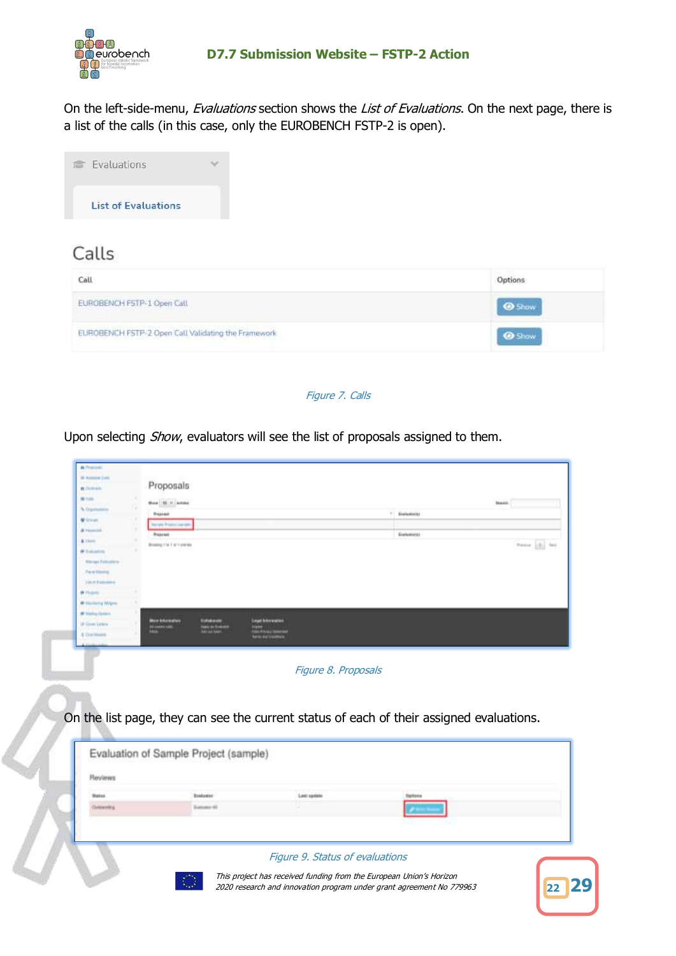

On the left-side-menu, Evaluations section shows the List of Evaluations. On the next page, there is a list of the calls (in this case, only the EUROBENCH FSTP-2 is open).



# Calls

| Call                                                                                                                                                                                                                                                         |  |
|--------------------------------------------------------------------------------------------------------------------------------------------------------------------------------------------------------------------------------------------------------------|--|
| EUROBENCH FSTP-1 Open Call<br>and the second company of the second company of the second company of the second company of the second company of the second company of the second company of the second company of the second company of the second company o |  |
| EUROBENCH FSTP-2 Open Call Validating the Framework                                                                                                                                                                                                          |  |

#### Figure 7. Calls

Upon selecting Show, evaluators will see the list of proposals assigned to them.

| % Oppositely<br>W Groups<br># historical<br>& Users<br><b>W Takaton</b><br><b>Warrent Finlandship</b>                                | New   N.Y. Long.<br>Projetado<br><b>Bergis Project com</b><br>Projetast<br>Brookly 1 to 1 of Fine box |                                       |                                        | 61.<br>Englassicial<br>Ecolumnia                                                         | <b>Seatt</b> | frees [8] last |
|--------------------------------------------------------------------------------------------------------------------------------------|-------------------------------------------------------------------------------------------------------|---------------------------------------|----------------------------------------|------------------------------------------------------------------------------------------|--------------|----------------|
| <b>Paral Hondra</b><br>104.0 Evaluation<br># Hand<br><b>IR Harmond Willem</b><br><b>IF Helling System</b><br><b>IP Econo Lettera</b> | <b>best Intermation</b>                                                                               | <b>Unfollowan</b>                     | <b><i><u>Septi Marmetten</u></i></b>   |                                                                                          |              |                |
| 5 Continuous                                                                                                                         |                                                                                                       |                                       | <b>COLE PRODUCTS</b><br><b>AND END</b> |                                                                                          |              |                |
|                                                                                                                                      |                                                                                                       |                                       |                                        |                                                                                          |              |                |
|                                                                                                                                      |                                                                                                       |                                       |                                        | Figure 8. Proposals                                                                      |              |                |
|                                                                                                                                      |                                                                                                       |                                       |                                        |                                                                                          |              |                |
|                                                                                                                                      |                                                                                                       |                                       |                                        |                                                                                          |              |                |
|                                                                                                                                      |                                                                                                       |                                       |                                        | On the list page, they can see the current status of each of their assigned evaluations. |              |                |
|                                                                                                                                      |                                                                                                       |                                       |                                        |                                                                                          |              |                |
|                                                                                                                                      |                                                                                                       | Evaluation of Sample Project (sample) |                                        |                                                                                          |              |                |
| <b>Fleviews</b>                                                                                                                      |                                                                                                       |                                       |                                        |                                                                                          |              |                |
| <b>Status</b><br>Determining                                                                                                         |                                                                                                       | <b>Baskasine</b><br>Eutomore 40       | Lesi systels                           | Uphons                                                                                   |              |                |
|                                                                                                                                      |                                                                                                       |                                       |                                        |                                                                                          |              |                |
|                                                                                                                                      |                                                                                                       |                                       |                                        |                                                                                          |              |                |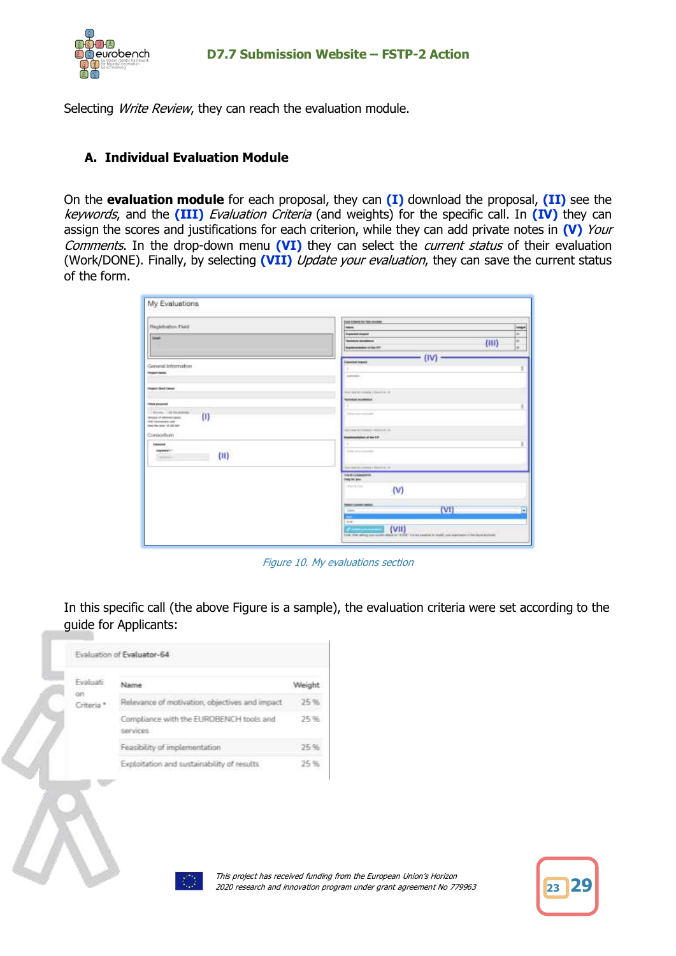

Selecting Write Review, they can reach the evaluation module.

### **A. Individual Evaluation Module**

On the **evaluation module** for each proposal, they can **(I)** download the proposal, **(II)** see the keywords, and the **(III)** Evaluation Criteria (and weights) for the specific call. In **(IV)** they can assign the scores and justifications for each criterion, while they can add private notes in **(V)** Your Comments. In the drop-down menu **(VI)** they can select the current status of their evaluation (Work/DONE). Finally, by selecting **(VII)** Update your evaluation, they can save the current status of the form.

| FlogMration: Field<br><b>Americ</b><br>General Information<br><b>Photo Series</b> (1999) 1999<br><b>Magazi Boot Henry</b><br><b>PARAMENTAL</b><br><b><i>Inflant photomasis</i></b><br>$\frac{1}{2} \left( \frac{1}{2} \right) = \frac{1}{2} \left( \frac{1}{2} \right)$<br><b>THE TRANSMISS SAN</b><br>tion the later of 22-500.<br>Consodium<br><b>Harpwood 1-1.</b><br>$\langle \mathbf{u} \rangle$<br><b>King</b> | <b>END COMMAN THE INVENE</b><br><b>Isabel</b><br><b>Transmitt England</b><br><b>Contractor</b><br><b>Technical parameters</b><br>(111)<br><b>Kigmmanbelon of San 611</b><br>(IV)<br><b><i><u>Transmitted</u></i></b><br><b>Service</b><br>like-maintenance   dans   dr. 12 | inqui<br>m.<br>m<br>$\frac{1}{2}$ |
|----------------------------------------------------------------------------------------------------------------------------------------------------------------------------------------------------------------------------------------------------------------------------------------------------------------------------------------------------------------------------------------------------------------------|----------------------------------------------------------------------------------------------------------------------------------------------------------------------------------------------------------------------------------------------------------------------------|-----------------------------------|
|                                                                                                                                                                                                                                                                                                                                                                                                                      |                                                                                                                                                                                                                                                                            |                                   |
|                                                                                                                                                                                                                                                                                                                                                                                                                      |                                                                                                                                                                                                                                                                            |                                   |
|                                                                                                                                                                                                                                                                                                                                                                                                                      |                                                                                                                                                                                                                                                                            |                                   |
|                                                                                                                                                                                                                                                                                                                                                                                                                      |                                                                                                                                                                                                                                                                            |                                   |
|                                                                                                                                                                                                                                                                                                                                                                                                                      |                                                                                                                                                                                                                                                                            |                                   |
|                                                                                                                                                                                                                                                                                                                                                                                                                      |                                                                                                                                                                                                                                                                            |                                   |
|                                                                                                                                                                                                                                                                                                                                                                                                                      |                                                                                                                                                                                                                                                                            |                                   |
|                                                                                                                                                                                                                                                                                                                                                                                                                      |                                                                                                                                                                                                                                                                            |                                   |
|                                                                                                                                                                                                                                                                                                                                                                                                                      |                                                                                                                                                                                                                                                                            |                                   |
|                                                                                                                                                                                                                                                                                                                                                                                                                      |                                                                                                                                                                                                                                                                            |                                   |
|                                                                                                                                                                                                                                                                                                                                                                                                                      |                                                                                                                                                                                                                                                                            |                                   |
|                                                                                                                                                                                                                                                                                                                                                                                                                      | <b>Technical Accessories</b>                                                                                                                                                                                                                                               |                                   |
|                                                                                                                                                                                                                                                                                                                                                                                                                      |                                                                                                                                                                                                                                                                            |                                   |
|                                                                                                                                                                                                                                                                                                                                                                                                                      | Torrespond the American                                                                                                                                                                                                                                                    |                                   |
|                                                                                                                                                                                                                                                                                                                                                                                                                      |                                                                                                                                                                                                                                                                            |                                   |
|                                                                                                                                                                                                                                                                                                                                                                                                                      | Searcher III: Answer - (493) 4-81-30                                                                                                                                                                                                                                       |                                   |
|                                                                                                                                                                                                                                                                                                                                                                                                                      | Improvementation of the CIP                                                                                                                                                                                                                                                |                                   |
|                                                                                                                                                                                                                                                                                                                                                                                                                      |                                                                                                                                                                                                                                                                            |                                   |
|                                                                                                                                                                                                                                                                                                                                                                                                                      | <b>STATISTICS</b>                                                                                                                                                                                                                                                          |                                   |
|                                                                                                                                                                                                                                                                                                                                                                                                                      | Maryland St. Comman   State In Co. D.                                                                                                                                                                                                                                      |                                   |
|                                                                                                                                                                                                                                                                                                                                                                                                                      | <b>TULO LUMINITIS</b><br>DOM/AV BAY                                                                                                                                                                                                                                        |                                   |
|                                                                                                                                                                                                                                                                                                                                                                                                                      | <b>CONTRACTOR</b><br>(v)                                                                                                                                                                                                                                                   |                                   |
|                                                                                                                                                                                                                                                                                                                                                                                                                      | <b>CONTRACTOR</b><br><b>Select current institut</b><br>(V1)                                                                                                                                                                                                                |                                   |
|                                                                                                                                                                                                                                                                                                                                                                                                                      | <b>Ladier</b><br><b>Section</b><br><b>SHE</b>                                                                                                                                                                                                                              | b.                                |
|                                                                                                                                                                                                                                                                                                                                                                                                                      | (VII)<br><b>Accountant</b><br>dealership and the state of the<br>to be the weights per permitted at 1950. It is an analyzed as halft put agricular in his lays power.                                                                                                      |                                   |

Figure 10. My evaluations section

In this specific call (the above Figure is a sample), the evaluation criteria were set according to the guide for Applicants:

| Fyaluati              | Name                                                |      |
|-----------------------|-----------------------------------------------------|------|
| Criteria <sup>*</sup> | Relevance of motivation, objectives and impact      |      |
|                       | Compliance with the EUROBENCH tools and<br>services | -25% |
|                       | Feasibility of implementation                       | ಾಸ ಇ |
|                       | Exploitation and sustainability of results          |      |



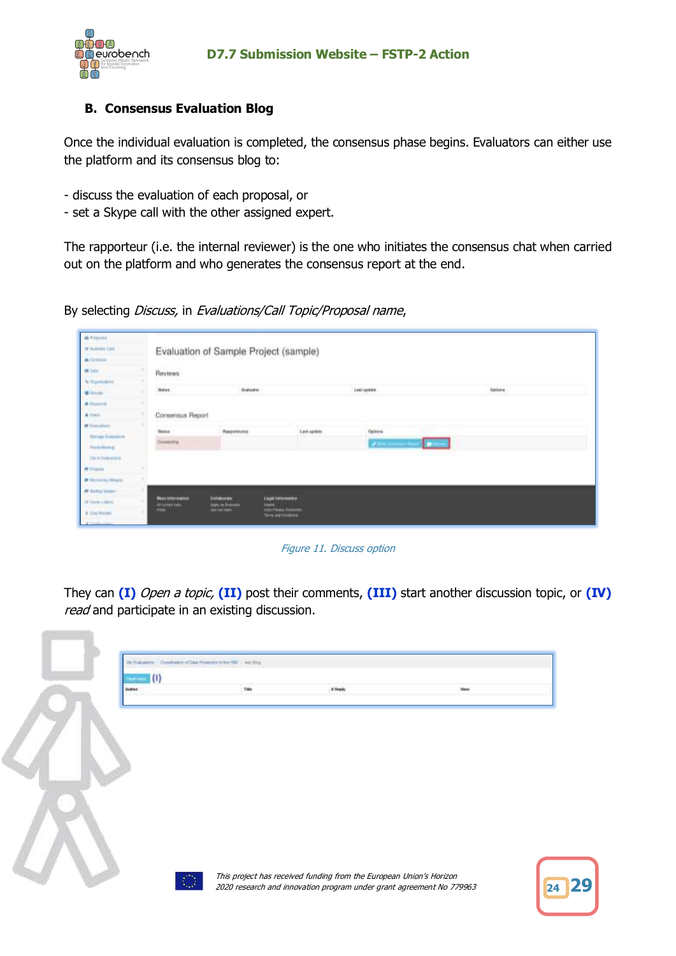

### **B. Consensus Evaluation Blog**

Once the individual evaluation is completed, the consensus phase begins. Evaluators can either use the platform and its consensus blog to:

- discuss the evaluation of each proposal, or
- set a Skype call with the other assigned expert.

The rapporteur (i.e. the internal reviewer) is the one who initiates the consensus chat when carried out on the platform and who generates the consensus report at the end.

By selecting *Discuss*, in Evaluations/Call Topic/Proposal name,

| A Forest                                  |                                                |                                                        |                                                             |                |        |         |  |
|-------------------------------------------|------------------------------------------------|--------------------------------------------------------|-------------------------------------------------------------|----------------|--------|---------|--|
| W Avenues Corp.                           |                                                | Evaluation of Sample Project (sample)                  |                                                             |                |        |         |  |
| <b>W</b> Elektrick                        |                                                |                                                        |                                                             |                |        |         |  |
| <b>Millala</b>                            | Reviews                                        |                                                        |                                                             |                |        |         |  |
| % Drawinstons                             | wet <i>he</i> n                                |                                                        |                                                             |                |        |         |  |
| W Union                                   | Here                                           | <b>Evaluation</b>                                      |                                                             | 1,441 Lipslate |        | Optiona |  |
| <b><i>B Foresto</i></b>                   |                                                |                                                        |                                                             |                |        |         |  |
| $4$ loss.                                 | Consensus Report                               |                                                        |                                                             |                |        |         |  |
| # Location                                | a katika matangan kal                          |                                                        |                                                             |                |        |         |  |
| <b>Manual Concession</b>                  | <b>Notes</b>                                   | Reportment                                             | <b>Last updett</b>                                          | Options        |        |         |  |
| <b>ALCOHOL: 20</b><br><b>Ford Holling</b> | <b>Democratic</b>                              |                                                        |                                                             | <b>CAMER</b>   | L<br>٠ |         |  |
| <b><i><u>Destinators</u></i></b>          |                                                |                                                        |                                                             |                |        |         |  |
| <b>W Frank</b>                            |                                                |                                                        |                                                             |                |        |         |  |
| <b># Incorporal Meters</b>                |                                                |                                                        |                                                             |                |        |         |  |
| <b>IR Delive Tenner</b>                   |                                                |                                                        |                                                             |                |        |         |  |
| IP Form Limited                           | <b>More drill promise</b><br>All summer paints | Galleboxes<br><b>With its Projects</b><br><b>Bally</b> | <b>Legal traveware</b>                                      |                |        |         |  |
| 6. Ceci Hussey                            | <b>WARNER</b>                                  | Addy are vision                                        | <b>Liste Privacy Statement</b><br><b>Torn and Construct</b> |                |        |         |  |
|                                           |                                                |                                                        |                                                             |                |        |         |  |

Figure 11. Discuss option

They can **(I)** Open a topic, **(II)** post their comments, **(III)** start another discussion topic, or **(IV)** read and participate in an existing discussion.

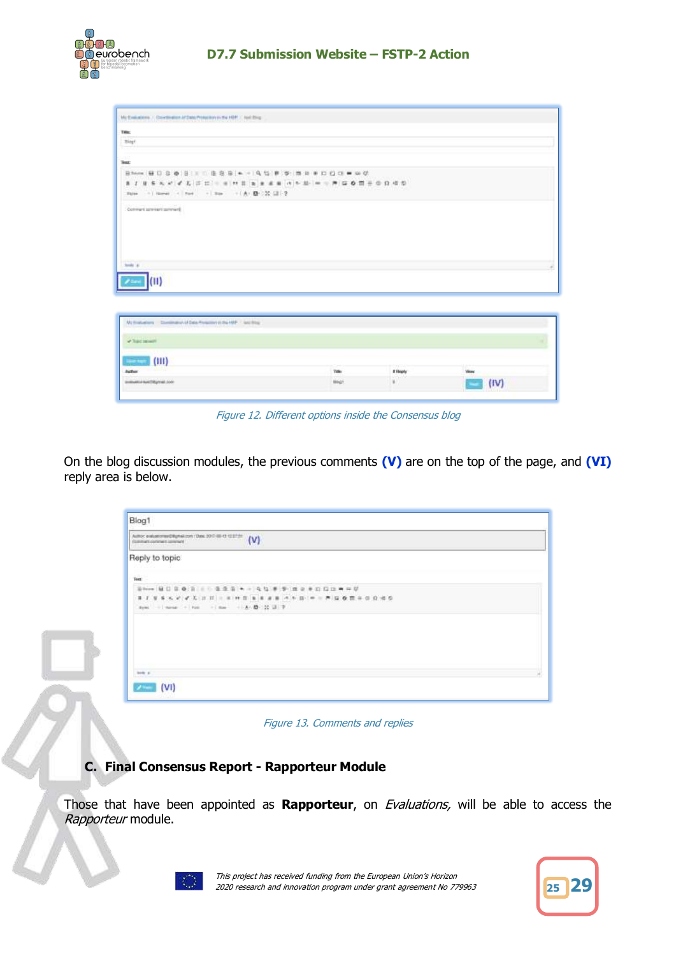

| Title<br>Bigt<br>and a<br>Test<br>- ( Norw) <   Not   -   Nos   -     A1   图   20   12   图<br><b>Elgina</b><br>Commert patriari permani<br><b>Sends at 1</b><br>(11)<br>Williams - Division of Dea Fording to HP - William<br><b>Visconnel</b><br>$\vert$ (III)<br><b>Section</b><br><b>Views</b><br>Actor<br>Total<br># Hearly<br><b>SOFIA</b><br>$\mathbf{H}$<br>premattal baltiful year 2000<br>HANZY | My Exabables 7, Contingent of Date Principles in the HBP, 7, leal 29 g. |  |      |
|----------------------------------------------------------------------------------------------------------------------------------------------------------------------------------------------------------------------------------------------------------------------------------------------------------------------------------------------------------------------------------------------------------|-------------------------------------------------------------------------|--|------|
|                                                                                                                                                                                                                                                                                                                                                                                                          |                                                                         |  |      |
|                                                                                                                                                                                                                                                                                                                                                                                                          |                                                                         |  |      |
|                                                                                                                                                                                                                                                                                                                                                                                                          |                                                                         |  |      |
|                                                                                                                                                                                                                                                                                                                                                                                                          |                                                                         |  |      |
|                                                                                                                                                                                                                                                                                                                                                                                                          |                                                                         |  |      |
|                                                                                                                                                                                                                                                                                                                                                                                                          |                                                                         |  |      |
|                                                                                                                                                                                                                                                                                                                                                                                                          |                                                                         |  |      |
|                                                                                                                                                                                                                                                                                                                                                                                                          |                                                                         |  |      |
|                                                                                                                                                                                                                                                                                                                                                                                                          |                                                                         |  |      |
|                                                                                                                                                                                                                                                                                                                                                                                                          |                                                                         |  |      |
|                                                                                                                                                                                                                                                                                                                                                                                                          |                                                                         |  |      |
|                                                                                                                                                                                                                                                                                                                                                                                                          |                                                                         |  |      |
|                                                                                                                                                                                                                                                                                                                                                                                                          |                                                                         |  | (IV) |

Figure 12. Different options inside the Consensus blog

On the blog discussion modules, the previous comments **(V)** are on the top of the page, and **(VI)** reply area is below.

|                                      | Amor extensional Renaissance (See 300 to 0 13136 / V) |  |
|--------------------------------------|-------------------------------------------------------|--|
| Reply to topic                       |                                                       |  |
| Toot:                                |                                                       |  |
|                                      |                                                       |  |
|                                      | 第1 日本大学 产品 正式 一次 叶言 医水面 水下 经 (中一界) 医春霞子母白喉炎           |  |
| now I seem - her - I me - A B 20 H 7 |                                                       |  |
|                                      |                                                       |  |
|                                      |                                                       |  |
|                                      |                                                       |  |
|                                      |                                                       |  |
|                                      |                                                       |  |
|                                      |                                                       |  |

Figure 13. Comments and replies

## **C. Final Consensus Report - Rapporteur Module**

Those that have been appointed as **Rapporteur**, on Evaluations, will be able to access the Rapporteur module.



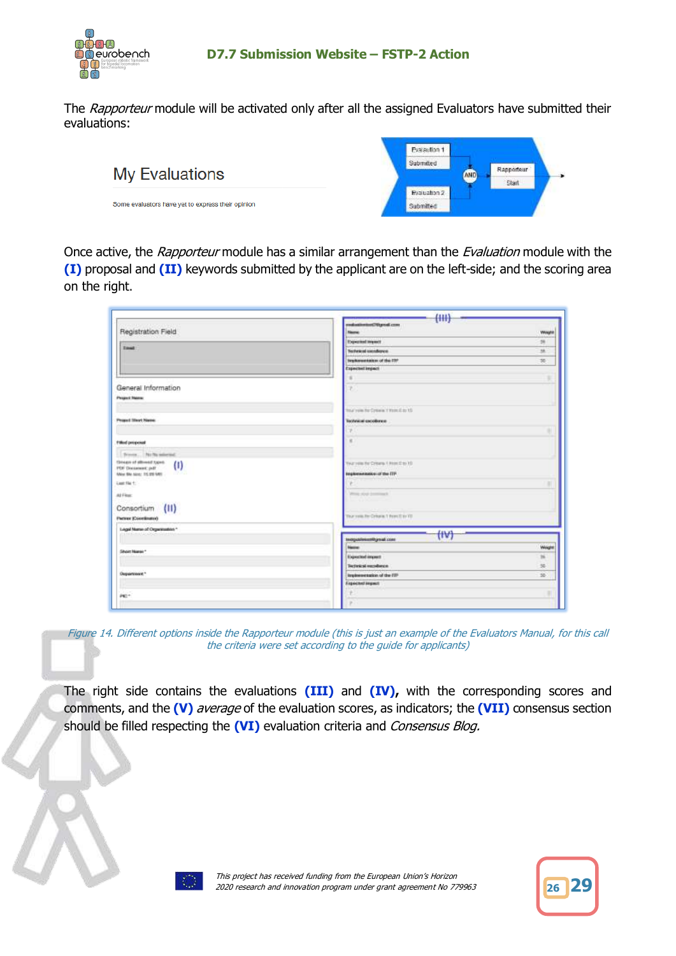

The Rapporteur module will be activated only after all the assigned Evaluators have submitted their evaluations:



Once active, the Rapporteur module has a similar arrangement than the Evaluation module with the **(I)** proposal and **(II)** keywords submitted by the applicant are on the left-side; and the scoring area on the right.

|                                                                       | (HH)                                         |               |
|-----------------------------------------------------------------------|----------------------------------------------|---------------|
| Registration Field                                                    | realizationise(Pitgreal.com<br><b>Newton</b> | Weight        |
|                                                                       | <b>Experimed Impact</b>                      | 26            |
| <b>Tout</b>                                                           | Technical introduces                         | ×             |
|                                                                       | brighterest keiters of the ITP               | 36            |
|                                                                       | Expected impact                              |               |
|                                                                       |                                              |               |
| General Information                                                   | ÷.                                           |               |
| Pergent Nation                                                        |                                              |               |
|                                                                       | Tour your the Common 1 Work & as 10          |               |
| <b>Proped Steet Name</b>                                              | Тесливный кособогое:                         |               |
|                                                                       |                                              |               |
|                                                                       |                                              |               |
| Filled proposed                                                       | $\mathbf{r}$                                 |               |
| Directs. No be minered.                                               |                                              |               |
| Greater of allowed types.<br>$\left( 1\right)$                        | Year you for Criteria 1 Print (2 to 10)      |               |
| PDF Discussed pdF<br>Make Bits Nover, 115, 272 MAIL<br><b>CARD IN</b> | <b>BEQANIMERING OF the ITF</b>               |               |
| Last file 1:                                                          |                                              |               |
| All Finan                                                             | Write style (emmand)                         |               |
|                                                                       |                                              |               |
| (11)<br>Consortium                                                    |                                              |               |
| Patrer (Occelinate)                                                   | Thur your Fer Critiques 1 Perm IT to TO.     |               |
| Logal Name of Organization*<br>pitation volto control                 | (IV)                                         |               |
|                                                                       | tempolitecamily and cont                     |               |
| Short Name: *                                                         | <b>Herita</b>                                | <b>Weight</b> |
|                                                                       | Expected import                              | ×             |
|                                                                       | Technical excellence.                        | 35            |
| Department."                                                          | implementation of the FIFF                   | 35            |
|                                                                       | Expected impact                              |               |
| PE <sup>+</sup>                                                       |                                              |               |
|                                                                       | ×                                            |               |

Figure 14. Different options inside the Rapporteur module (this is just an example of the Evaluators Manual, for this call the criteria were set according to the guide for applicants)

The right side contains the evaluations **(III)** and **(IV),** with the corresponding scores and comments, and the **(V)** average of the evaluation scores, as indicators; the **(VII)** consensus section should be filled respecting the **(VI)** evaluation criteria and *Consensus Blog.* 



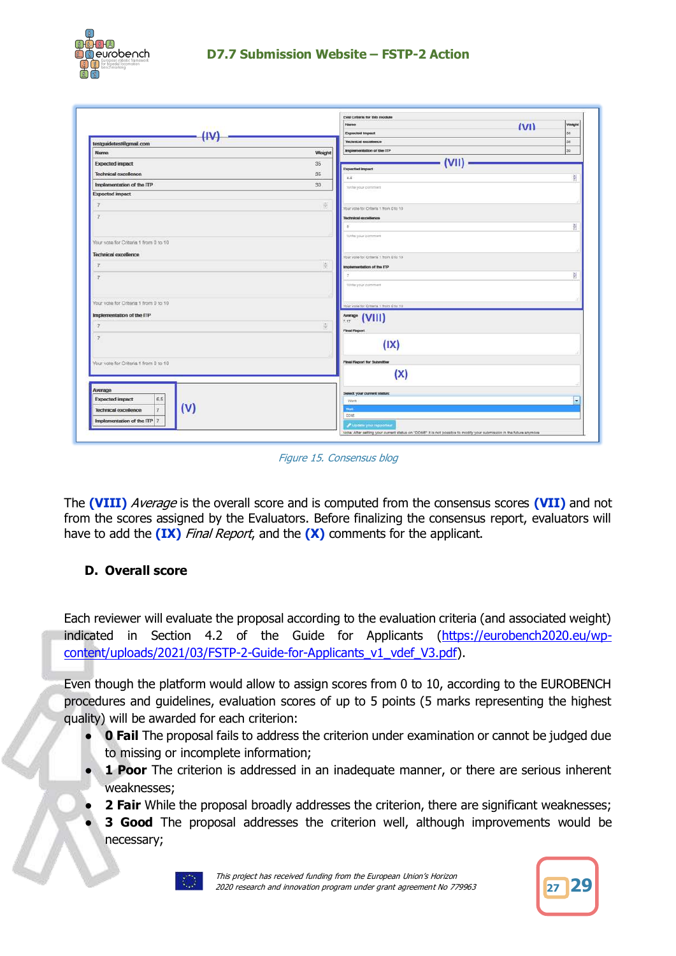

|                                               |                                      | Name<br>(VI)                                   | Weight   |
|-----------------------------------------------|--------------------------------------|------------------------------------------------|----------|
| $_{INI}$<br>testguidetest@gmail.com           |                                      | <b>Expected Impact</b><br>Technical excellence | 36<br>56 |
| Namo                                          | Weight                               | Implementation of the ITP                      | 30       |
| <b>Expected impact</b>                        | 35                                   | (VII)                                          |          |
| <b>Technical excellence</b>                   | 35                                   | <b>Expected impact</b>                         |          |
| Implementation of the ITP                     | 30 <sub>1</sub>                      | $0.5 -$                                        | 湔        |
| <b>Expected impact</b>                        |                                      | Witte your comment                             |          |
|                                               |                                      |                                                |          |
|                                               | $\frac{1}{2}$                        | Your vote for Criteria 1 from 0 to 10          |          |
|                                               |                                      | Technical expellence                           |          |
|                                               |                                      | ×                                              | 븹        |
| Your vote for Criteria 1 from 0 to 10         |                                      | Write your comment                             |          |
| <b>Technical excellence</b>                   |                                      |                                                |          |
|                                               |                                      | Your vote for Criteria 1 from 0.10 10          |          |
|                                               | 間                                    | Implementation of the ITP                      |          |
|                                               |                                      |                                                | 븶        |
|                                               |                                      | Write your comment                             |          |
| Your vote for Criteria 1 from 0 to 10         |                                      |                                                |          |
|                                               |                                      | Vour vote for Critaria 1 from 0 to 10          |          |
| Implementation of the ITP                     |                                      | $\frac{1}{2.17}$ (VIII)<br>7.17                |          |
|                                               | $\left \frac{\alpha}{\alpha}\right $ | <b>Final Report</b>                            |          |
|                                               |                                      |                                                |          |
|                                               |                                      | (IX)                                           |          |
| Your vote for Criteria 1 from 0 to 10         |                                      | Final Report for Submitter                     |          |
|                                               |                                      | (X)                                            |          |
|                                               |                                      |                                                |          |
| Average                                       |                                      | <b>Select your current status:</b>             |          |
| 6.5<br><b>Expected impact</b>                 |                                      | <b>WOrk</b>                                    | ۰        |
| (V)<br>$\overline{7}$<br>Technical excellence |                                      | <b>TRANK</b>                                   |          |
| Implementation of the ITP 7                   |                                      | <b>DONE</b><br>Update your reporting           |          |

Figure 15. Consensus blog

The **(VIII)** Average is the overall score and is computed from the consensus scores **(VII)** and not from the scores assigned by the Evaluators. Before finalizing the consensus report, evaluators will have to add the **(IX)** Final Report, and the **(X)** comments for the applicant.

## **D. Overall score**

Each reviewer will evaluate the proposal according to the evaluation criteria (and associated weight) indicated in Section 4.2 of the Guide for Applicants [\(https://eurobench2020.eu/wp](https://eurobench2020.eu/wp-content/uploads/2021/03/FSTP-2-Guide-for-Applicants_v1_vdef_V3.pdf)[content/uploads/2021/03/FSTP-2-Guide-for-Applicants\\_v1\\_vdef\\_V3.pdf\)](https://eurobench2020.eu/wp-content/uploads/2021/03/FSTP-2-Guide-for-Applicants_v1_vdef_V3.pdf).

Even though the platform would allow to assign scores from 0 to 10, according to the EUROBENCH procedures and guidelines, evaluation scores of up to 5 points (5 marks representing the highest quality) will be awarded for each criterion:

- **0 Fail** The proposal fails to address the criterion under examination or cannot be judged due to missing or incomplete information;
- **1 Poor** The criterion is addressed in an inadequate manner, or there are serious inherent weaknesses;
- **2 Fair** While the proposal broadly addresses the criterion, there are significant weaknesses;
- **3 Good** The proposal addresses the criterion well, although improvements would be necessary;



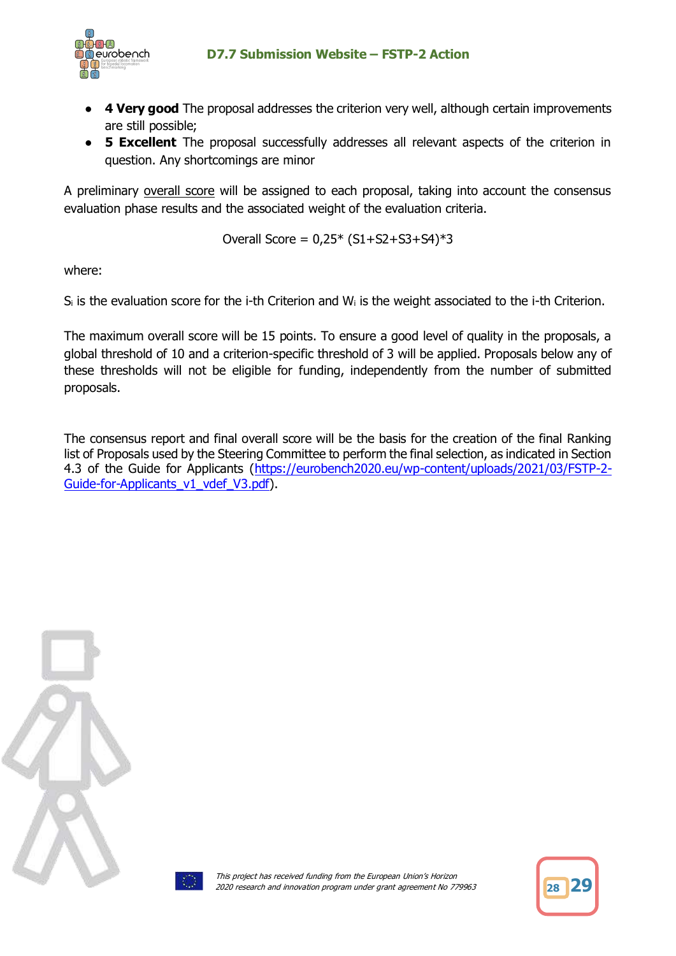

- **4 Very good** The proposal addresses the criterion very well, although certain improvements are still possible;
- **5 Excellent** The proposal successfully addresses all relevant aspects of the criterion in question. Any shortcomings are minor

A preliminary overall score will be assigned to each proposal, taking into account the consensus evaluation phase results and the associated weight of the evaluation criteria.

Overall Score = 
$$
0.25
$$
<sup>\*</sup>  $(S1+S2+S3+S4)$ <sup>\*</sup>3

where:

 $S_i$  is the evaluation score for the i-th Criterion and W<sub>i</sub> is the weight associated to the i-th Criterion.

The maximum overall score will be 15 points. To ensure a good level of quality in the proposals, a global threshold of 10 and a criterion-specific threshold of 3 will be applied. Proposals below any of these thresholds will not be eligible for funding, independently from the number of submitted proposals.

The consensus report and final overall score will be the basis for the creation of the final Ranking list of Proposals used by the Steering Committee to perform the final selection, as indicated in Section 4.3 of the Guide for Applicants [\(https://eurobench2020.eu/wp-content/uploads/2021/03/FSTP-2-](https://eurobench2020.eu/wp-content/uploads/2021/03/FSTP-2-Guide-for-Applicants_v1_vdef_V3.pdf) [Guide-for-Applicants\\_v1\\_vdef\\_V3.pdf\)](https://eurobench2020.eu/wp-content/uploads/2021/03/FSTP-2-Guide-for-Applicants_v1_vdef_V3.pdf).